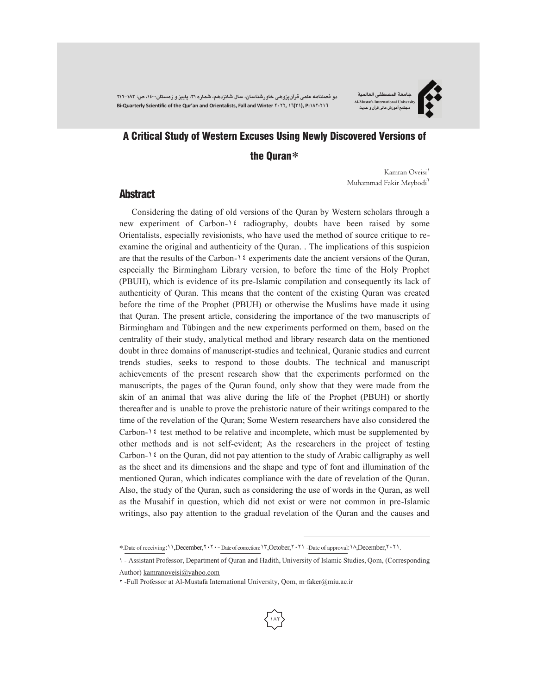**دو فصلنامه علمی قرآنپژوهی خاورشناسان، سال شانزدهم، شماره ،٣١ پاییز و زمستان،١٤٠٠ ص: ٢١٦-١٨٢ Bi-Quarterly Scientific of the Qur'an and Orientalists, Fall and Winter ٢٠٢٢, ١٦(٣١), P:١٨٢-٢١٦** 

#### **جامعة المصطفی العالمیة Al-Mustafa International University مجتمع آموزش عالی قرآن و حدیث**

# A Critical Study of Western Excuses Using Newly Discovered Versions of

the Quran

Kamran Oveisi Muhammad Fakir Meybodi

#### **Abstract**

Considering the dating of old versions of the Quran by Western scholars through a new experiment of Carbon-١٤ radiography, doubts have been raised by some Orientalists, especially revisionists, who have used the method of source critique to reexamine the original and authenticity of the Quran. . The implications of this suspicion are that the results of the Carbon- $\lambda$ <sup>2</sup> experiments date the ancient versions of the Quran, especially the Birmingham Library version, to before the time of the Holy Prophet (PBUH), which is evidence of its pre-Islamic compilation and consequently its lack of authenticity of Quran. This means that the content of the existing Quran was created before the time of the Prophet (PBUH) or otherwise the Muslims have made it using that Quran. The present article, considering the importance of the two manuscripts of Birmingham and Tübingen and the new experiments performed on them, based on the centrality of their study, analytical method and library research data on the mentioned doubt in three domains of manuscript-studies and technical, Quranic studies and current trends studies, seeks to respond to those doubts. The technical and manuscript achievements of the present research show that the experiments performed on the manuscripts, the pages of the Quran found, only show that they were made from the skin of an animal that was alive during the life of the Prophet (PBUH) or shortly thereafter and is unable to prove the prehistoric nature of their writings compared to the time of the revelation of the Quran; Some Western researchers have also considered the Carbon- $\iota$  test method to be relative and incomplete, which must be supplemented by other methods and is not self-evident; As the researchers in the project of testing Carbon-1 $\epsilon$  on the Quran, did not pay attention to the study of Arabic calligraphy as well as the sheet and its dimensions and the shape and type of font and illumination of the mentioned Quran, which indicates compliance with the date of revelation of the Quran. Also, the study of the Quran, such as considering the use of words in the Quran, as well as the Musahif in question, which did not exist or were not common in pre-Islamic writings, also pay attention to the gradual revelation of the Quran and the causes and

.Date of receiving:١١,December,٢٠٢٠- Date of correction :١٣,October,٢٠٢١ -Date of approval:١٨,December,٢٠٢١.

<sup>1</sup> - Assistant Professor, Department of Quran and Hadith, University of Islamic Studies, Qom, (Corresponding Author) kamranoveisi@yahoo.com

<sup>2</sup> -Full Professor at Al-Mustafa International University, Qom, m\_ faker@miu.ac.ir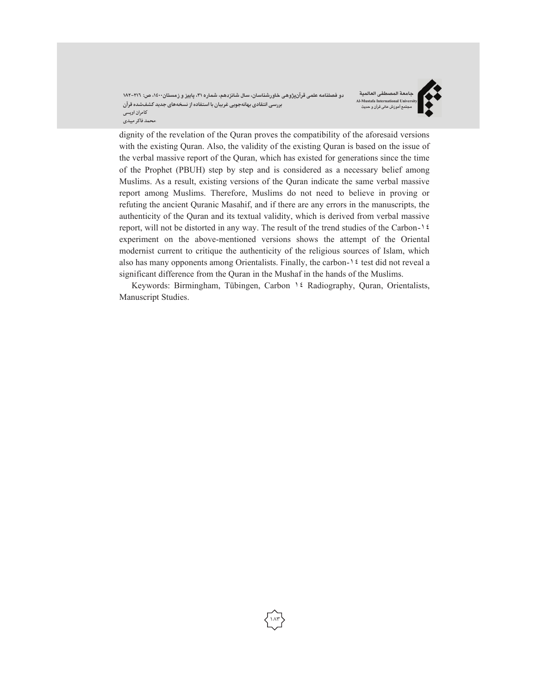دو فصلنامه علمی قرآنپژوهی خاورشناسان، سال شانزدهم، شماره ۳۱، پاییز و زمستان۱۶۰۰، ص: ۲۱٦–۱۸۲ **بررسی انتقادیبهانهجویی غربیان با استفادهازنسخههایجدید کشفشدهقرآن کامران اویسی \محمد فاکر میبدی**

**جامعة المصطفی العالمیة Al-Mustafa International U مجتمع آموزش عالی قرآن و حدیث**



dignity of the revelation of the Quran proves the compatibility of the aforesaid versions with the existing Quran. Also, the validity of the existing Quran is based on the issue of the verbal massive report of the Quran, which has existed for generations since the time of the Prophet (PBUH) step by step and is considered as a necessary belief among Muslims. As a result, existing versions of the Quran indicate the same verbal massive report among Muslims. Therefore, Muslims do not need to believe in proving or refuting the ancient Quranic Masahif, and if there are any errors in the manuscripts, the authenticity of the Quran and its textual validity, which is derived from verbal massive report, will not be distorted in any way. The result of the trend studies of the Carbon-١٤ experiment on the above-mentioned versions shows the attempt of the Oriental modernist current to critique the authenticity of the religious sources of Islam, which also has many opponents among Orientalists. Finally, the carbon- $12$  test did not reveal a significant difference from the Quran in the Mushaf in the hands of the Muslims.

Keywords: Birmingham, Tübingen, Carbon ١٤ Radiography, Quran, Orientalists, Manuscript Studies.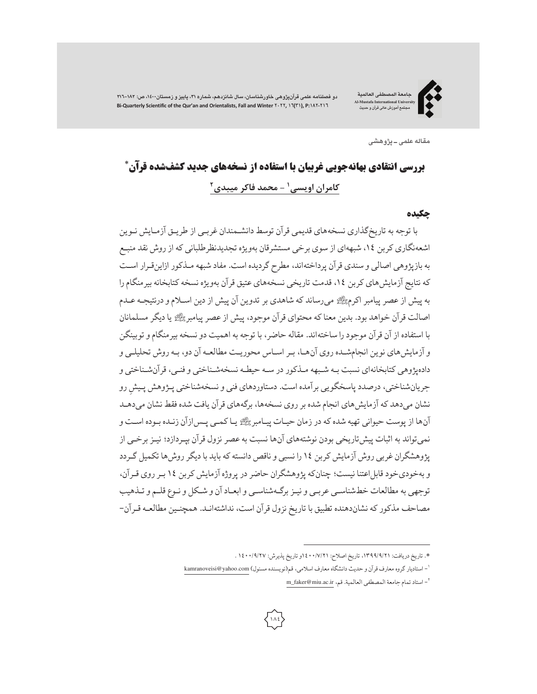**دو فصلنامه علمی قرآنپژوهی خاورشناسان، سال شانزدهم، شماره ،٣١ پاییز و زمستان،١٤٠٠ ص: ٢١٦-١٨٢ Bi-Quarterly Scientific of the Qur'an and Orientalists, Fall and Winter ٢٠٢٢, ١٦(٣١), P:١٨٢-٢١٦** 

**جامعة المصطفی العالمیة Al-Mustafa International Unive مجتمع آموزش عالی قرآن و حدیث**



**مقاله علمی ـ پژوهشی**

# بررسی انتقادی بهانهجویی غربیان با استفاده از نسخههای جدید کشفشده قرآن\* **2 - محمد فاکر میبدي <sup>1</sup> کامران اویسی**

#### چکیده

با توجه به تاریخگذاری نسخههای قدیمی قرآن توسط دانشـمندان غربـی از طریـق آزمـایش نـوین اشعهنگاری کربن ،١٤ شبههای از سوی برخی مستشرقان بهویژه تجدیدنظرطلبانی که از روش نقد منبـع به بازپژوهی اصالی و سندی قرآن پرداختهاند، مطرح گردیده است. مفاد شبهه مـذکور ازاینقـرار اسـت که نتایج آزمایشهای کربن ١٤، قدمت تاریخی نسخههای عتیق قرآن بهویژه نسخه کتابخانه بیرمنگام را به پیش ازعصر پیامبر اکرم- میرساند که شاهدی بر تدوین آن پیش از دین اسـلامو درنتیجـهعـدم اصالت قرآن خواهد بود. بدین معناکه محتوای قرآن موجود، پیش ازعصر پیامبر- یا دیگر مسلمانان با استفاده از آن قرآن موجود را ساختهاند. مقاله حاضر، با توجه به اهمیت دو نسخه بیرمنگامو توبینگن و آزمایشهای نوین انجامشـده روی آنهـا، بـر اسـاس محوریـت مطالعـه آن دو، بـه روش تحلیلـی و دادهپژوهی کتابخانهای نسبت بـه شـبهه مـذکور در سـه حیطـه نسخهشـناختی و فنـی، قرآنشـناختی و جریانشناختی، درصدد پاسخگویی برآمده است. دستاوردهای فنی و نسخهشناختی پـژوهش پـیشِ رو<br>-نشان میدهد که آزمایشهای انجام شده برروی نسخهها، برگههای قرآن یافت شده فقط نشان میدهـد آنها از پوست حیوانی تهیه شدهکه در زمان حیـات پیـامبر-یـاکمـی پـسازآن زنـده بـوده اسـت و نمیتواند به اثبات پیشتاریخی بودن نوشتههای آنها نسبت بهعصر نزول قرآن بپـردازد؛ نیـز برخـی از پژوهشگران غربی روش آزمایش کربن ١٤ را نسبی و ناقص دانسته که باید با دیگر روشها تکمیل گـردد و بهخودیخود قابلاعتنا نیست؛ چنانکه پژوهشگران حاضر در پروژه آزمایش کربن ١٤ بـرروی قـرآن، توجهی به مطالعات خطشناسـی عربـی و نیـزبرگـهشناسـی و ابعـاد آن و شـکل و نـوع قلـم و تـذهیب مصاحف مذکورکه نشاندهنده تطبیق با تاریخ نزول قرآن است، نداشتهانـد. همچنـین مطالعـه قـرآن-

. تاریخ دریافت: ،١٣٩٩/٩/٢١ تاریخ اصلاح: ١٤٠٠/٧/٢١و تاریخ پذیرش: ١٤٠٠/٩/٢٧ .

<sup>-</sup> استادیار گروه معارفقرآن و حدیث دانشگاه معارفاسلامی، قم(نویسنده مسئول) com.yahoo@kamranoveisi <sup>1</sup>

m\_faker@miu.ac.ir ، استاد تمام جامعة المصطفى العالمية. قم، m\_faker@miu.ac.ir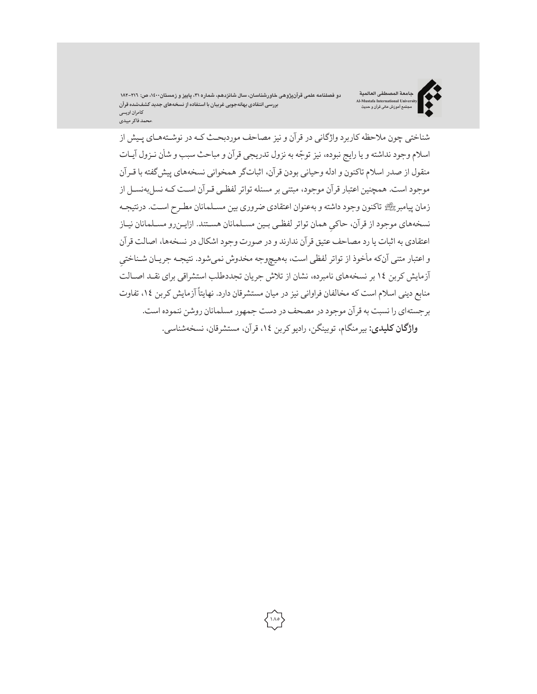دو فصلنامه علمی قرآنپژوهی خاورشناسان، سال شانزدهم، شماره ۳۱، پاییز و زمستان۱۶۰۰، ص: ۲۱٦–۱۸۲ **بررسی انتقادیبهانهجویی غربیان با استفادهازنسخههایجدید کشفشدهقرآن کامران اویسی \محمد فاکر میبدی**



شناختی چون ملاحظه کاربرد واژگانی در قرآن و نیز مصاحف موردبحـث کـه در نوشـتههـای پـیش از ֦֧<u>֓</u> اسلام وجود نداشته و یا رایج نبوده، نیز توجّه به نزول تدریجی قرآن و مباحث سبب و شان نـزول آیـات منقول از صدر اسلام تاکنون و ادله وحیانی بودن قرآن، اثباتگر همخوانی نسخههای پیشگفته با قـرآن موجود است. همچنین اعتبار قرآن موجود، مبتنی بر مسئله تواتر لفظـی قـرآن اسـت کـه نسل بهنسـل از زمان پیامبر- تاکنون وجود داشته و بهعنوان اعتقادی ضروری بین مسـلمانان مطـرح اسـت. درنتیجـه نسخههای موجود از قرآن، حاکیِ همان تواتر لفظـی بـین مسـلمانان هسـتند. ازایـنرو مسـلمانان نیـاز اعتقادی به اثبات یا رد مصاحف عتیق قرآن ندارند و در صورت وجود اشکال در نسخهها، اصالت قرآن ِ <sup>و</sup> اعتبار متنی آنکه مأخوذ از تواتر لفظی است، بههیچوجه مخدوش نمی شود. نتیجـه جریـان شـناختی آزمایش کربن ١٤ بر نسخههای نامبرده، نشان از تلاش جریان تجددطلب استشراقی برای نقـد اصـالت منابع دینی اسلام است که مخالفان فراوانی نیز در میان مستشرقان دارد. نهایتاً آزمایش کربن ١٤، تفاوت برجستهای را نسبت به قرآن موجود در مصحف در دست جمهور مسلمانان روشن ننموده است. **واژگان کلیدی:** بیرمنگام، توبینگن،رادیوکربن ،١٤ قرآن، مستشرقان، نسخهشناسی.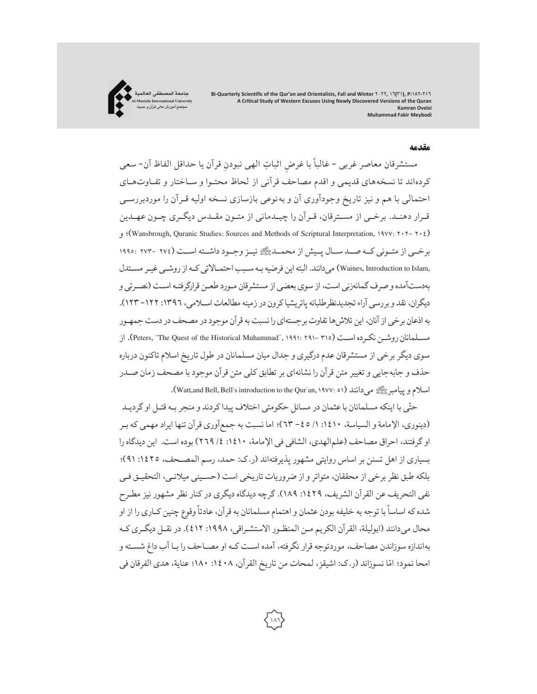

#### مقدمه

مستشرقان معاصر غربی - غالباً با غرضِ اثباتِ الهی نبودنِ قرآن یا حداقل الفاظ آن- سعی کردهاند تا نسخههای قدیمی و اقدم مصاحف قرآنی از لحاظ محتـوا و سـاختار و تفـاوتهـای احتمالی با هم و نیز تاریخ وجودآوری آن و بهنوعی بازسازی نسخه اولیه قـرآن را موردبررسـی قـرار دهنـد. برخـی از مسـترقان، قـرآن را چیـدمانی از متـون مقـدس دیگـری چـون عهـدین و ؛)Wansbrough, Quranic Studies: Sources and Methods of Scriptural Interpretation, ١٩٧٧: ٢٠٢- ٢٠٤) برخــی از متــونی کــه صــد ســال پــیش از محمــد-نیــزوجــود داشــته اســت (٢٧٤ ٢٧٣- ١٩٩٥: ,Waines, Introduction to Islam ) می دانند. البته این فرضیه بـه سـبب احتمـالاتی کـه از روشـی غیـر مسـتدل بهدستآمده و صرف گمانهزنی است، از سوی بعضی از مستشرقان مـورد طعـن قرارگرفتـه اسـت (نصـرتی و دیگران، نقد و بررسی آراء تجدیدنظرطلبانه پاتریشیاکرون در زمینه مطالعات اسـلامی، ١٣٩٦: ١٢٢- ١٢٣). به اذعان برخی از آنان، این تلاش ها تفاوت بر جستهای را نسبت به قرآن موجود در مصحف در دست جمهـور از .)Peters, "The Quest of the Historical Muhammad", ١٩٩١: ٢٩١- ٣١٥) اسـت نکـرده روشـن مسـلمانان سوی دیگر برخی از مستشرقان عدم درگیری و جدال میان مسلمانان در طول تاریخ اسلام تاکنون درباره حذف و جابهجایی و تغییر متن قرآن را نشانهای بر تطابق کلی متن قرآن موجود با مصحف زمان صـدر .(Watt,and Bell, Bell's introduction to the Qur'an, ١٩٧٧: ٥١) میدانند-پیامبر اسلامو

حتّی با اینکه مسلمانان با عثمان در مسائل حکومتی اختلاف پیدا کردند و منجر بـه قتـل او گردیـد (دینوری، الإمامة و السیاسة، :١٤١٠ /١ -٤٥ ٦٣)؛ اما نسبت به جمعآوری قرآن تنها ایراد مهمی که بـر اوگرفتند، احراق مصاحف (علمالهدی، الشافی فی الإمامة، :١٤١٠ /٤ ٢٦٩) بوده است. این دیدگاه را بسیاری از اهل تسنن بر اساس روایتی مشهور پذیرفتهاند (ر.ک: حمد، رسم المصـحف، :١٤٢٥ ٩١)؛ بلکه طبق نظر برخی از محققان، متواتر و از ضروریات تاریخی است (حسـینی میلانـی، التحقیـق فـی نفی التحریف عن القرآن الشریف، ١٤٢٩: ١٨٩). گرچه دیدگاه دیگری در کنار نظر مشهور نیز مطـرح ًشده که اساسا با توجه به خلیفه بودن عثمان و اهتمام مسلمانان به قرآن، عادتا وقوع چنین کـاری را از او ًمحال میدانند (ابولیلة، القرآن الکریم مـن المنظـور الاستشـراقی، :١٩٩٨ ٤١٢). در نقـل دیگـری کـه بهاندازه سوزاندن مصاحف، موردتوجه قرار نگرفته، آمده اسـت کـه او مصـاحف را بـا آب داغ شسـته و امحا نمود؛ امّا نسوزاند (ر.ک: اشيقز، لمحات من تاريخ القرآن، ١٤٠٨. ١٤٠٠؛ عناية، هدي الفرقان في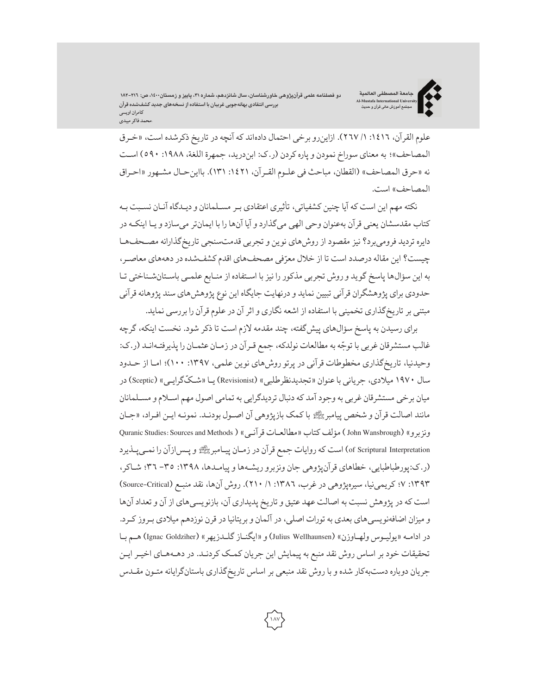دو فصلنامه علمی قرآنپژوهی خاورشناسان، سال شانزدهم، شماره ۳۱، پاییز و زمستان۱٬۱۰۰، ص: ۲۱٦–۱۸۲ **بررسی انتقادیبهانهجویی غربیان با استفادهازنسخههایجدید کشفشدهقرآن کامران اویسی \محمد فاکر میبدی**

**جامعة المصطفی العالمیة Al-Mustafa International University مجتمع آموزش عالی قرآن و حدیث**



علوم القرآن، :١٤١٦ /١ ٢٦٧). ازاینرو برخی احتمال دادهاند که آنچه در تاریخ ذکرشده است، «خـرق المصاحف»؛ به معنای سوراخ نمودن و پارهکردن (ر.ک: ابندرید، جمهرة اللغة، :١٩٨٨ ٥٩٠) اسـت نه «حرق المصاحف» (القطان، مباحث فی علـوم القـرآن، :١٤٢١ ١٣١). بااینحـال مشـهور «احـراق المصاحف» است.

نکته مهم این است که آیا چنین کشفیاتی، تأثیری اعتقادی بـر مسـلمانان و دیـدگاه آنـان نسـبت بـه کتاب مقدسشان یعنی قرآن بهعنوان وحی الهی میگذارد و آیا آنها را با ایمانتر میسازد و یـا اینکـه در دایره تردید فرومیبرد؟نیز مقصود از روشهای نوین و تجربی قدمتسنجی تاریخگذارانه مصـحفهـا چیست؟ این مقاله درصدد است تا از خلال معرّفی مصحفهای اقدم کشفشده در دهههای معاصـر، به این سؤالها پاسخ گوید و روش تجربی مذکور را نیزبا اسـتفاده از منـابع علمـی باسـتانشـناختی تـا حدودی برای پژوهشگران قرآنی تبیین نماید و درنهایت جایگاه این نوع پژوهشهای سند پژوهانه قرآنی مبتنی برتاریخگذاری تخمینی با استفاده از اشعه نگاری و اثرآن درعلومقرآن را بررسی نماید.

برای رسیدن به پاسخ سؤالهای پیشگفته، چند مقدمه لازم است تا ذکر شود. نخست اینکه،گرچه غالب مستشرقان غربی با توجّه به مطالعات نولدکه، جمع قـرآن در زمـان عثمـان را پذیرفتـهانـد (ر.ک: وحیدنیا، تاریخگذاری مخطوطات قرآنی در پرتو روشهای نوین علمی، :١٣٩٧ ١٠٠)؛ امـا از حـدود سال ۱۹۷۰ میلادی، جریانی با عنوان «تجدیدنظرطلبی» (Revisionist) یــا «شـکّگرایـی» (Sceptic) در میان برخی مستشرقان غربی به وجود آمد که دنبال تردیدگرایی به تمامی اصول مهم اسـلامو مسـلمانان مانند اصالت قرآن و شخص پیامبر پای با کمک بازپژوهی آن اصـول بودنـد. نمونـه ایـن افـراد، «جـان ونزبرو» (John Wansbrough ) مؤلف كتاب «مطالعـات قرآنـي» ( Quranic Studies: Sources and Methods of Scriptural Interpretation) است که روایات جمع قرآن در زمـان پیـامبرﷺ و پـس|زآن را نمـیِ پـذیرد (ر.ک:پورطباطبایی، خطاهای قرآنپژوهی جان ونزبرو ریشـهها و پیامـدها، :١٣٩٨ -٣٥ ٣٦؛ شـاکر، ١٣٩٣: ٧؛ کریمینیا، سیرهپژوهی در غرب، ١٣٨٦: ١/ ٢١٠). روش آنها، نقد منبـع (Source-Critical) است که در پژوهش نسبت به اصالت عهد عتیق و تاریخ پدیداری آن، بازنویسیهای از آن و تعداد آنها و میزان اضافهنویسیهای بعدی به تورات اصلی، در آلمان و بریتانیا در قرن نوزدهم میلادی بـروزکـرد. در ادامـه «یولیـوس ولهـاوزن» (Julius Wellhaunsen) و «ایگنـاز گلـدزیهر» (Ignac Goldziher) هـم بـا تحقیقات خود بر اساس روش نقد منبع به پیمایش این جریان کمـک کردنـد. در دهـههـای اخیـر ایـن جریان دوباره دستبهکار شده و با روش نقد منبعی بر اساس تاریخگذاری باستانگرایانه متـون مقـدس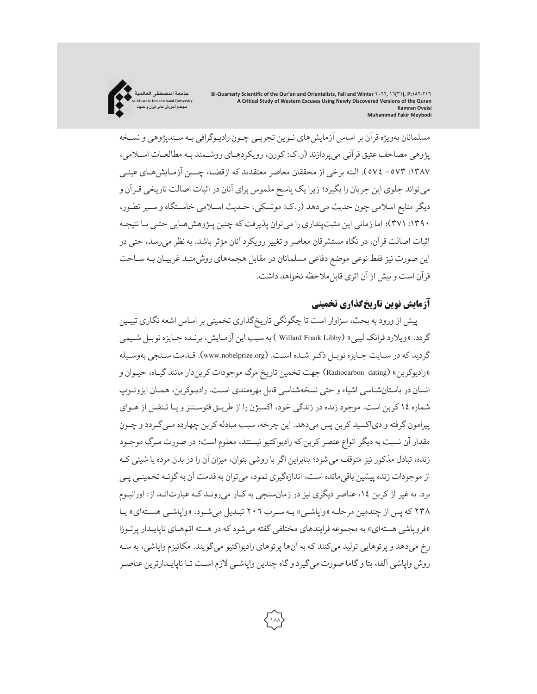

مسلمانان بهویژه قرآن بر اساس آزمایشهای نـوین تجربـی چـون رادیـوگرافی بـه سـندپژوهی و نسـخه پژوهی مصاحف عتیق قرآنی میپردازند (ر.ک: کورن، رویکردهـای روشـمند بـه مطالعـات اسـلامی، :١٣٨٧ -٥٧٣ ٥٧٤). البته برخی از محققان معاصر معتقدند که ازقضـا، چنـین آزمـایشهـای عینـی میتواند جلوی این جریان را بگیرد؛ زیرا یک پاسخ ملموس برای آنان در اثبات اصالت تاریخی قـرآن و دیگر منابع اسلامی چون حدیث میدهد (ر.ک: موتسکی، حـدیث اسـلامی خاسـتگاه و سـیر تطـور، :١٣٩٠ ٣٧١)؛ اما زمانی این مثبتپنداری را میتوان پذیرفت که چنین پـژوهشهـایی حتـی بـا نتیجـه اثبات اصالت قرآن، در نگاه مستشرقان معاصر و تغییر رویکرد آنان مؤثر باشد. به نظر می رسد، حتی در این صورت نیز فقط نوعی موضع دفاعی مسلمانان در مقابل هجمههای روشمنـد غربیـان بـه سـاحت قرآن است و بیش از آن اثری قابل ملاحظه نخواهد داشت.

# آزمایش نوین تاریخگذاری تخمینی

پیش از ورود به بحث، سزاوار است تا چگونگی تاریخگذاری تخمینی براساس اشعه نگاری تبیـین گردد. «ویلارد فرانک لیبی» (Willard Frank Libby ) به سبب این آزمـایش، برنـده جـایزه نوبـل شـیمی گردید که در سـایت جـایزه نوبـل ذکـر شـده اسـت. (www.nobelprize.org). قـدمت سـنجی بهوسـیله «رادیوکربن» (Radiocarbon dating) جهت تخمین تاریخ مرگ موجودات کربندار مانند گیـاه، حیـوان و انسان در باستانشناسی اشیاء و حتی نسخهشناسی قابل بهرهمندی اسـت. رادیـوکربن، همـان ایزوتـوپ شماره ١٤ کربن است. موجود زنده در زندگی خود، اکسیژن را از طریـق فتوسـنتزو یـا تـنفس از هـوای پیرامون گرفته و دیاکسید کربن پس میدهد. این چرخه، سبب مبادله کربن چهارده مـی گـردد و چـون مقدار آن نسبت به دیگر انواع عنصر کربن که رادیواکتیو نیستند، معلوم است؛ در صورت مـرگ موجـود زنده، تبادل مذکور نیز متوقف میشود؛ بنابراین اگر با روشی بتوان، میزان آن را در بدن مرده یا شیئی کـه از موجودات زنده پیشین باقی مانده است، اندازهگیری نمود، می توان به قدمت آن به گونـه تخمینـی پـی برد. به غیر از کربن ١٤، عناصر دیگری نیز در زمانسنجی به کـار میرونـد کـه عبارتانـد از: اورانیـوم ٢٣٨ که پس از چندمین مرحلـه «واپاشـی» بـه سـرب ٢٠٦ تبـدیل میشـود. «واپاشـی هسـتهای» یـا «فروپاشی هستهای» به مجموعه فرایندهای مختلفی گفته میشودکه در هسته اتمهـای ناپایـدار پرتـوزا رخ میدهد و پرتوهایی تولید میکنند که به آنها پرتوهای رادیواکتیو میگویند. مکانیزم واپاشی، به سـه روش واپاشی آلفا، بتا وگاما صورت میگیردوگاه چندین واپاشـی لازماسـت تـا ناپایـدارترین عناصـر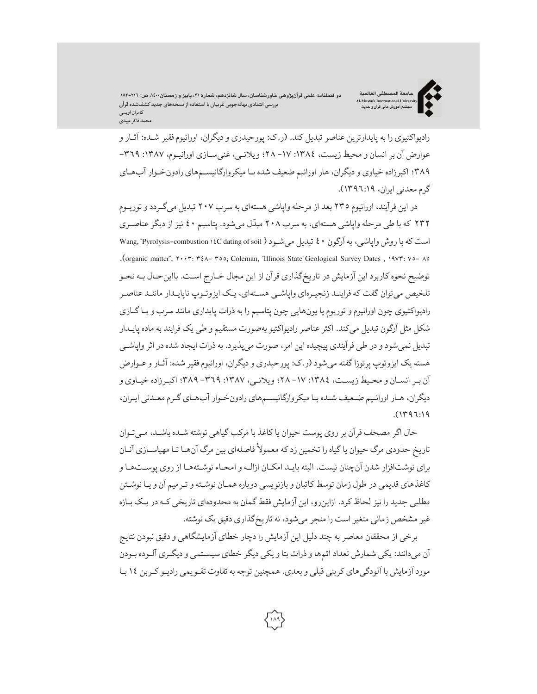دو فصلنامه علمی قرآنپژوهی خاورشناسان، سال شانزدهم، شماره ۳۱، پاییز و زمستان۱٬۱۰۰، ص: ۲۱٦–۱۸۲ **بررسی انتقادی بهانهجویی غربیان با استفاده از نسخههای جدید کشفشده قرآن کامران اویسی \محمد فاکر میبدی**

**جامعة المصطفی العالمیة Al-Mustafa International University مجتمع آموزش عالی قرآن و حدیث**



رادیواکتیوی را به پایدارترین عناصر تبدیل کند. (ر.ک: پورحیدری و دیگران، اورانیوم فقیر شـده: آثـار و عوارض آن بر انسان و محیط زیست، ١٣٨٤: ١٧ - ٢٨؛ ویلانـی، غنی سـازی اورانیـوم، ١٣٨٧: ٣٦٩-٣٨٩؛ اکبرزاده خیاوی و دیگران، هار اورانیم ضعیف شده بـا میکروارگانیسـمهای رادونخـوار آبهـای گرممعدنی ایران، ١٣٩٦:١٩).

در این فرآیند، اورانیوم ٢٣٥ بعد از مرحله واپاشی هستهای به سرب ٢٠٧ تبدیل میگـردد وتوریـوم ٢٣٢ كه با طی مرحله واپاشی هستهای، به سرب ٢٠٨ مبدّل میشود. پتاسیم ٤٠ نیز از دیگر عناصـری است که با روش واپاشی ، به آرگون ٤٠ تبدیل می شـود ( Wang, "Pyrolysis-combustion ١٤C dating of soil .(organic matter", ٢٠٠٣: ٣٤٨- ٣٥٥; Coleman, "Illinois State Geological Survey Dates , ١٩٧٣: ٧٥- ٨٥ توضیح نحوه کاربرد این آزمایش در تاریخگذاری قرآن از این مجال خـارج اسـت. بااینحـال بـه نحـو تلخیص میتوان گفت که فراینـد زنجیـرهای واپاشـی هسـتهای، یـک ایزوتـوپ ناپایـدار ماننـد عناصـر رادیواکتیوی چون اورانیوم و توریوم یا یونهایی چون پتاسیم را به ذرات پایداری مانند سرب و یـاگـازی شکل مثل آرگون تبدیل میکند. اکثرعناصررادیواکتیوبهصورت مستقیم و طی یک فرایند به ماده پایـدار تبدیل نمیشود و در طی فرآیندی پیچیده این امر، صورت میپذیرد. به ذرات ایجاد شده در اثر واپاشـی هسته یک ایزوتوپ پرتوزاگفته میشود (ر.ک: پورحیدری و دیگران، اورانیومفقیر شده: آثـار وعـوارض آن بـرانسـان و محـیط زیسـت، :١٣٨٤ -١٧ ٢٨؛ ویلانـی، :١٣٨٧ -٣٦٩ ٣٨٩؛ اکبـرزاده خیـاوی و دیگران، هـار اورانـیم ضـعیف شـده بـا میکروارگانیسـمهای رادونخـوار آبهـای گـرممعـدنی ایـران، .(١٣٩٦:١٩

حال اگر مصحف قرآن بر روی پوست حیوان یاکاغذ با مرکب گیاهی نوشته شـده باشـد، مـیتـوان تاریخ حدودی مرگ حیوان یا گیاه را تخمین زد که معمولاً فاصلهای بین مرگ آنهـا تـا مهیاسـازی آنـان برای نوشتافزار شدن آنچنان نیست. البته بایـد امکـان ازالـه و امحـاء نوشـتههـا از روی پوسـتهـا و کاغذهای قدیمی در طول زمان توسط کاتبان و بازنویسی دوباره همـان نوشـته و تـرمیم آن و یـا نوشـتن مطلبی جدید را نیز لحاظ کرد. ازاینرو، این آزمایش فقط گمان به محدودهای تاریخی کـه در یـک بـازه غیر مشخص زمانی متغیر است را منجر میشود، نه تاریخگذاری دقیق یک نوشته.

برخی از محققان معاصر به چند دلیل این آزمایش را دچار خطای آزمایشگاهی و دقیق نبودن نتایج آن میدانند: یکی شمارش تعداد اتمها و ذرات بتا و یکی دیگر خطای سیسـتمی و دیگـری آلـوده بـودن مورد آزمایش با آلودگیهای کربنی قبلی و بعدی. همچنین توجه به تفاوت تقـویمی رادیـوکـربن ١٤بـا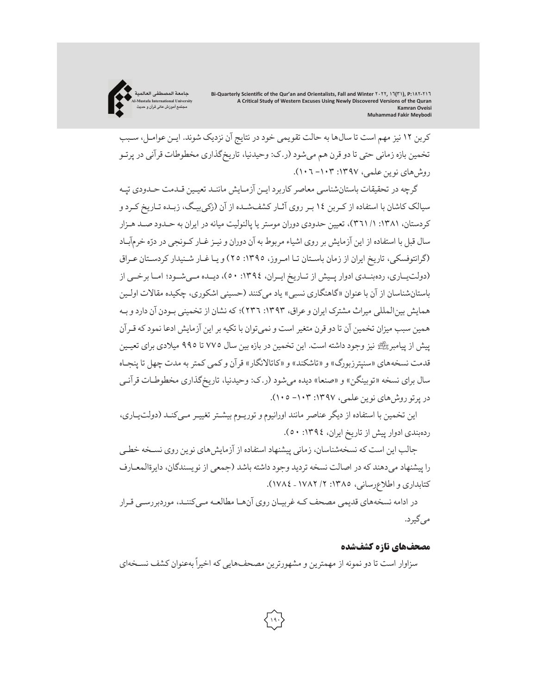**جامعة المصطفی العالمیة Al-Mustafa International University مجتمع آموزش عالی قرآن و حدیث**

کربن ١٢ نیز مهم است تا سالها به حالت تقویمی خود در نتایج آن نزدیک شوند. ایـن عوامـل، سـبب تخمین بازه زمانی حتی تا دو قرن هم میشود (ر.ک: وحیدنیا، تاریخگذاری مخطوطات قرآنی در پرتـو روشهای نوین علمی، :١٣٩٧ -١٠٣ ١٠٦).

گرچه در تحقیقات باستانشناسی معاصرکاربرد ایـن آزمـایش ماننـد تعیـین قـدمت حـدودی تپـه سیالک کاشان با استفاده از کـربن ١٤ بـر روی آثـار کشفشـده از آن (زکیبیـگ، زبـده تـاریخ کـرد و کردستان، :١٣٨١ /١ ٣٦١)، تعیین حدودی دوران موستر یا پالئولیت میانه در ایران به حـدود صـد هـزار سال قبل با استفاده از این آزمایش بر روی اشیاء مربوط به آن دوران و نیـز غــار کــونجی در درّه خرمآبـاد (گرانتوفسکی، تاریخ ایران از زمان باسـتان تـا امـروز، :١٣٩٥ ٢٥) و یـاغـار شـنیدارکردسـتان عـراق (دولتیــاری،ردهبنــدی ادوار پــیش از تــاریخ ایــران، :١٣٩٤ ٥٠)،دیــده مــیشــود؛ امــا برخــی از باستانشناسان از آن باعنوان «گاهنگاری نسبی» یاد میکنند (حسینی اشکوری، چکیده مقالات اولـین همایش بینالمللی میراث مشترک ایران وعراق، :١٣٩٣ ٢٣٦)؛که نشان از تخمینی بـودن آن داردو بـه همین سبب میزان تخمین آن تا دو قرن متغیر است و نمیتوان با تکیه براین آزمایش ادعا نمودکه قـرآن پیش از پیامبر- نیز وجود داشته است. این تخمین در بازه بین سال ٧٧٥ تا ٩٩٥ میلادی برای تعیـین قدمت نسخههای «سنپترزبورگ» و «تاشکند» و «کاتالانگار» قرآن وکمی کمتربه مدت چهل تا پنجـاه سال برای نسخه «توبینگن» و «صنعا» دیده میشود (ر.ک: وحیدنیا، تاریخگذاری مخطوطـات قرآنـی در پرتوروشهای نوین علمی، :١٣٩٧ -١٠٣ ١٠٥).

این تخمین با استفاده از دیگرعناصر مانند اورانیوم و توریـوم بیشـتر تغییـر مـیکنـد (دولتیـاری، ردهبندی ادوار پیش از تاریخ ایران، :١٣٩٤ ٥٠).

جالب این است که نسخهشناسان، زمانی پیشنهاد استفاده از آزمایشهای نوین روی نسـخه خطـی را پیشنهاد میدهند که در اصالت نسخه تردید وجود داشته باشد (جمعی از نویسندگان، دایرةالمعـارف کتابداری و اطلاعرسانی، :١٣٨٥ /٢ ١٧٨٢ – ١٧٨٤).

در ادامه نسخههای قدیمی مصحف کـهغربیـان روی آنهـا مطالعـه مـیکننـد، موردبررسـی قـرار میگیرد.

## مصحفهای تازه کشفشده

سزاوار است تا دو نمونه از مهمترین و مشهورترین مصحفهایی که اخیراً بهعنوان کشف نسـخهای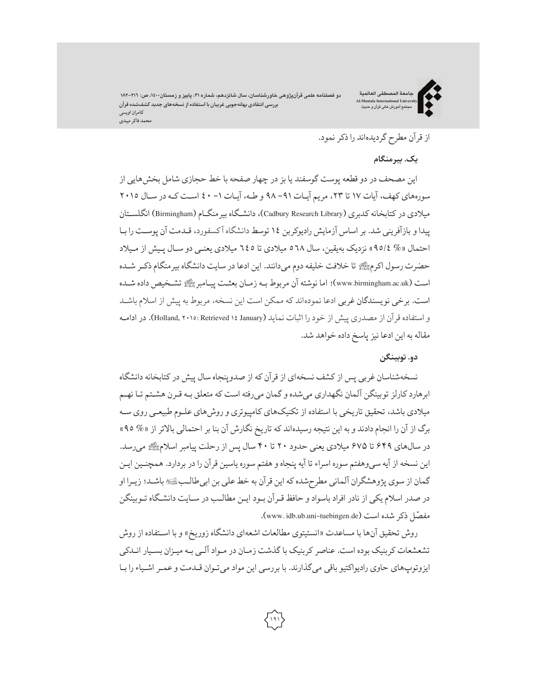دو فصلنامه علمی قرآنپژوهی خاورشناسان، سال شانزدهم، شماره ۳۱، پاییز و زمستان۱۶۰۰، ص: ۲۱٦–۱۸۲ **بررسی انتقادی بهانهجویی غربیان با استفاده از نسخههای جدید کشفشده قرآن کامران اویسی \محمد فاکر میبدی**

**جامعة المصطفی العالمیة Al-Mustafa International University مجتمع آموزش عالی قرآن و حدیث**



# از قرآن مطرح گردیدهاند راذکرنمود.

# **یک. بیرمنگام**

این مصحف در دو قطعه پوست گوسفند یا بز در چهار صفحه با خط حجازی شامل بخشهایی از سورههای کهف، آیات ١٧ تا ٢٣، مریم آیـات ٩١- ٩٨ و طـه، آیـات ١- ٤٠ اسـت کـه در سـال ٢٠١٥ میلادی در کتابخانه کدبری (Cadbury Research Library)، دانشـگاه بیر منگـام (Birmingham) انگلسـتان پیداو بازآفرینی شد. براساس آزمایش رادیوکربن ١٤ توسط دانشگاه آ کسفورد، قـدمت آن پوسـت را بـا احتمال «% ٩٥/٤» نزدیک بهیقین، سال ٥٦٨ میلادی تا ٦٤٥ میلادی یعنـی دو سـال پـیش از مـیلاد حضرت رسول اکرم- تا خلافت خلیفه دوم میدانند. این ادعا در سایت دانشگاه بیرمنگام ذکـر شـده است (www.birmingham.ac.uk)؛ اما نوشته آن مربوط بـه زمـان بعثـت پیـامبر ﷺ تشـخیص داده شـده است. برخی نویسندگان غربی ادعا نمودهاند که ممکن است این نسخه، مربوط به پیش از اسلام باشـد و استفاده قرآن از مصدری پیش از خود را اثبات نماید (January ١٤ Retrieved ٢٠١٥: ,Holland(. در ادامـه مقاله به این ادعا نیز پاسخ داده خواهد شد.

## **دو. توبینگن**

نسخهشناسان غربی پس ازکشف نسخهای از قرآن که از صدوپنجاه سال پیش درکتابخانه دانشگاه ابرهاردکارلز توبینگن آلمان نگهداری میشده وگمان میرفته است که متعلق بـه قـرن هشـتم تـا نهـم میلادی باشد، تحقیق تاریخی با استفاده از تکنیکهای کامپیوتری و روشهای علـوم طبیعـی روی سـه برگ از آن را انجام دادند و به این نتیجه رسیدهاند که تاریخ نگارش آن بنا بر احتمالی بالاتر از «% ٩٥» در سالهای ۶۴۹ تا ۶۷۵ میلادی یعنی حدود ۲۰ تا ۴۰ سال پس از رحلت پیامبر اسلام- میرسد. این نسخه از آیه سیوهفتم سوره اسراء تا آیه پنجاه و هفتم سوره یاسین قرآن را در بردارد. همچنـین ایـن گمان از سوی پژوهشگران آلمانی مطرحشدهکه این قرآن به خط علی بن ابیطالـب\$باشـد؛ زیـرا او در صدر اسلام یکی از نادر افراد باسواد و حافظ قـرآن بـود ایـن مطالـب در سـایت دانشـگاه تـوبینگن مفصّل ذکر شده است (www.idb.ub.uni-tuebingen.de).

روش تحقیق آنها با مساعدت «انستیتوی مطالعات اشعهای دانشگاه زوریخ» و با اسـتفاده از روش تشعشعات کربنیک بوده است. عناصرکربنیک با گذشت زمـان در مـواد آلـی بـه میـزان بسـیار انـدکی ایزوتوپهای حاوی رادیواکتیو باقی میگذارند. با بررسی این مواد میتـوان قـدمت و عمـر اشـیاء را بـا

**١٩١**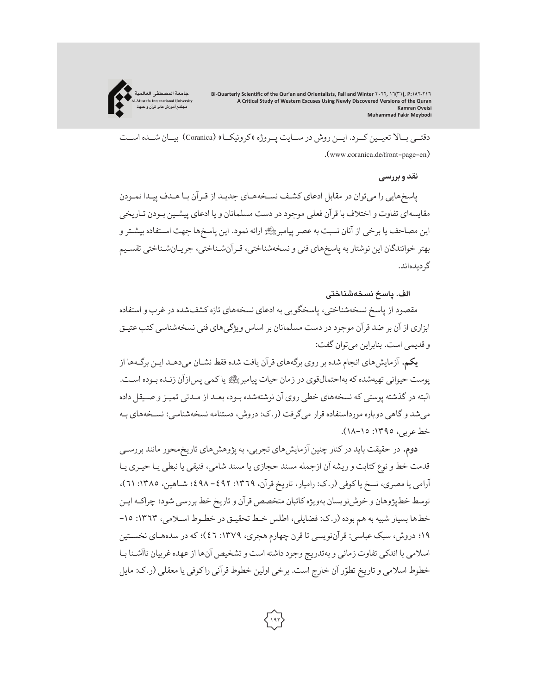**جامعة المصطفی العالمیة Al-Mustafa International University مجتمع آموزش عالی قرآن و حدیث**

> دقتــی بــالا تعیــین کــرد. ایــن روش در ســایت پــروژه «کرونیکــا» (Coranica (بیــان شــده اســت .(www.coranica.de/front-page-en)

#### **نقد وبررسی**

پاسخهایی را میتوان در مقابل ادعای کشـف نسـخههـای جدیـد از قـرآن بـا هـدف پیـدا نمـودن مقایسهای تفاوت و اختلاف با قرآن فعلی موجود در دست مسلمانان و یا ادعای پیشـین بـودن تـاریخی این مصاحف یا برخی از آنان نسبت به عصر پیامبر ﷺ ارائه نمود. این پاسخها جهت اسـتفاده بیشـتر و بهتر خوانندگان این نوشتار به پاسخهای فنی و نسخهشناختی، قـرآنشـناختی، جریـانشـناختی تقسـیم گردیدهاند.

## **الف. پاسخ نسخهشناختی**

مقصود از پاسخ نسخهشناختی، پاسخگویی به ادعای نسخههای تازهکشفشده درغرب و استفاده ابزاری از آن بر ضد قرآن موجود در دست مسلمانان بر اساس ویژگیهای فنی نسخهشناسی کتب عتیـق و قدیمی است. بنابراین میتوان گفت:

**یکم.** آزمایشهای انجام شده بر روی برگههای قرآن یافت شده فقط نشـان میدهـد ایـن برگـهها از پوست حیوانی تهیهشدهکه بهاحتمالقوی در زمان حیات پیامبر- یاکمی پسازآن زنـده بـوده اسـت. البته در گذشته پوستی که نسخههای خطی روی آن نوشتهشده بـود، بعـد از مـدتی تمیـز و صـیقل داده میشد وگاهی دوباره مورداستفاده قرار میگرفت (ر.ک: دروش، دستنامه نسخهشناسی: نسـخههای بـه خط عربی، :١٣٩٥ ١٨-١٥).

**دوم.** در حقیقت باید درکنار چنین آزمایشهای تجربی، به پژوهشهای تاریخمحور مانند بررسـی قدمت خط و نوع کتابت و ریشه آن ازجمله مسند حجازی یا مسند شامی، فنیقی یا نبطی یـا حیـری یـا آرامی یا مصری، نسخ یاکوفی (ر.ک: رامیار، تاریخ قرآن، :١٣٦٩ -٤٩٢ ٤٩٨؛ شـاهین، :١٣٨٥ ٦١)، توسط خطپژوهان و خوشنویسان بهویژهکاتبان متخصص قرآن و تاریخ خط بررسی شود؛ چراکـه ایـن خطها بسیار شبیه به هم بوده (ر.ک: فضایلی، اطلس خـط تحقیـق در خطـوط اسـلامی، :١٣٦٣ -١٥ ١٩؛ دروش، سبک عباسی: قرآننویسی تا قرن چهارم هجری، :١٣٧٩ ٤٦)؛ که در سدههـای نخسـتین اسلامی با اندکی تفاوت زمانی و بهتدریج وجود داشته است و تشخیص آنها ازعهدهغربیان ناآشـنا بـا خطوط اسلامی و تاریخ تطوّر آن خارج است. برخی اولین خطوط قرآنی را کوفی یا معقلی (ر.ک: مایل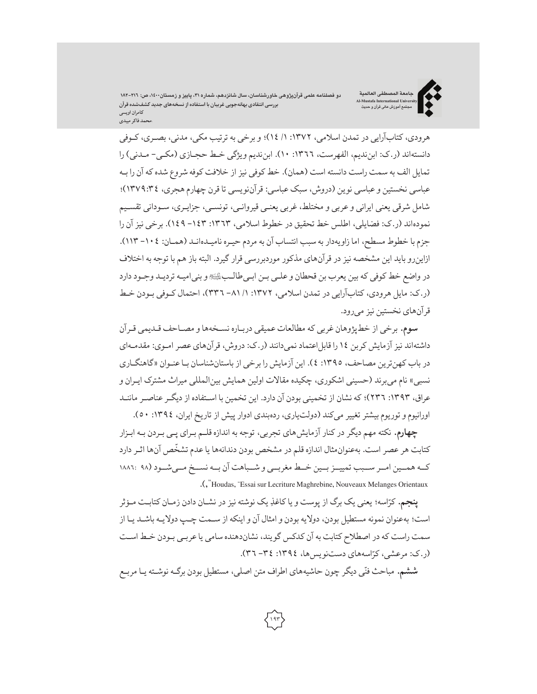دو فصلنامه علمی قرآنپژوهی خاورشناسان، سال شانزدهم، شماره ۳۱، پاییز و زمستان۱٬۱۰۰، ص: ۲۱٦–۱۸۲ **بررسی انتقادیبهانهجویی غربیان با استفادهازنسخههایجدید کشفشدهقرآن کامران اویسی \محمد فاکر میبدی**

**جامعة المصطفی العالمیة Al-Mustafa International University مجتمع آموزش عالی قرآن و حدیث**



هرودی، کتابآرایی در تمدن اسلامی، ١٣٧٢: ١/ ١٤)؛ و برخی به ترتیب مکی، مدنی، بصـری، کـوفی دانستهاند (ر.ک: ابنندیم، الفهرست، :١٣٦٦ ١٠). ابنندیم ویژگی خـط حجـازی (مکـی- مـدنی) را تمایل الف به سمت راست دانسته است (همان). خط کوفی نیز از خلافت کوفه شروع شدهکه آن را بـه عباسی نخستین وعباسی نوین (دروش، سبک عباسی: قرآننویسی تا قرن چهارم هجری، ١٣٧٩:٣٤)؛ شامل شرقی یعنی ایرانی وعربی و مختلط،غربی یعنـی قیروانـی، تونسـی، جزایـری، سـودانی تقسـیم نمودهاند (ر.ک: فضایلی، اطلس خط تحقیق در خطوط اسلامی، :١٣٦٣ -١٤٣ ١٤٩). برخی نیزآن را جزم با خطوط مسطح، اما زاویهدار به سبب انتساب آن به مردم حیـره نامیـدهانـد (همـان: -١٠٤ ١١٣). ازاینرو باید این مشخصه نیز در قرآنهای مذکور موردبررسی قرارگیرد. البته باز هم با توجه به اختلاف در واضع خط کوفی که بین یعرب بن قحطان وعلـی بـن ابـیطالـب\$و بنیامیـه تردیـد وجـود دارد (ر.ک: مایل هرودی،کتابآرایی در تمدن اسلامی، :١٣٧٢ /١ -٨١ ٣٣٦)، احتمال کـوفی بـودن خـط قرآنهای نخستین نیزمیرود.

**سوم.** برخی از خطپژوهان غربی که مطالعات عمیقی دربـاره نسـخهها و مصـاحف قـدیمی قـرآن داشتهاند نیز آزمایش کربن ١٤ را قابل اعتماد نمی دانند (ر.ک: دروش، قرآن های عصر امـوی: مقدمـهای در باب کهنترین مصاحف، :١٣٩٥ ٤). این آزمایش را برخی از باستانشناسان بـاعنـوان «گاهنگـاری نسبی» نام میبرند (حسینی اشکوری، چکیده مقالات اولین همایش بینالمللی میراث مشترک ایـران و عراق، ١٣٩٣: ٢٣٦)؛ که نشان از تخمینی بودن آن دارد. این تخمین با اسـتفاده از دیگـر عناصـر ماننـد اورانیوم و توریوم بیشتر تغییر میکند (دولتیاری، ردهبندی ادوار پیش از تاریخ ایران، ١٣٩٤: ٥٠).

**چهارم.** نکته مهم دیگر در کنار آزمایشهای تجربی، توجه به اندازه قلـم بـرای پـی بـردن بـه ابـزار كتابت هر عصر است. بهعنوان مثال اندازه قلم در مشخص بودن دندانهها يا عدم تشخّص آنها اثـر دارد کــه همــین امــر ســبب تمییــزبــین خــط مغربــی و شــباهت آن بــه نســخ مــیشــود (٩٨ ١٨٨٦: .(,"Houdas, "Essai sur Lecriture Maghrebine, Nouveaux Melanges Orientaux

از پوست <sup>و</sup> یا ِ کاغذ کر یک نوشته نیز در نشـان دادن زمـان کتابـت مـؤثر ّ **پنجم.** اسه؛ یعنی یک برگ است؛ بهعنوان نمونه مستطیل بودن، دولایه بودن و امثال آن و اینکه از سـمت چـپ دولایـه باشـد یـا از سمت راست که در اصطلاح کتابت به آن کدکس گویند، نشاندهنده سامی یاعربـی بـودن خـط اسـت (ر.ک: مرعشی، کرّاسههای دستنویسها، ١٣٩٤: ٣٤- ٣٦).

مباحث فن های اطراف متن اصلی، مستطیل بودن برگـه نوشـته یـا مربـع ّ **ششم.** <sup>ی</sup> دیگر چون حاشیه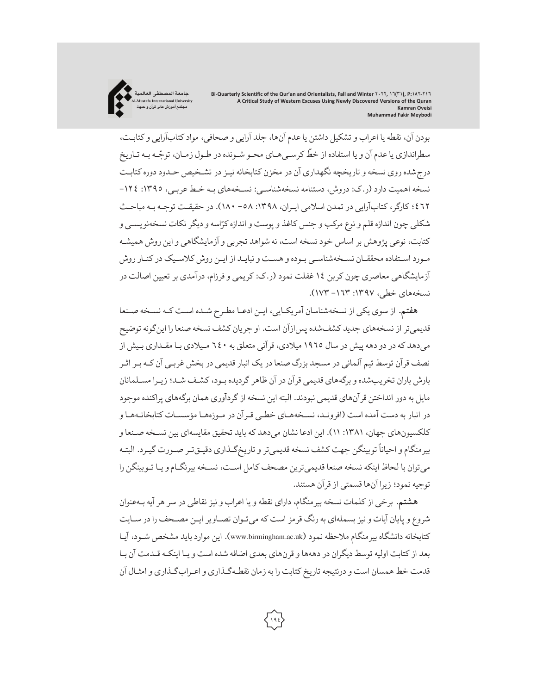بودن آن، نقطه یا اعراب و تشکیل داشتن یاعدمآنها، جلد آرایی و صحافی، موادکتابآرایی وکتابـت، سطراندازی یا عدم آن و یا استفاده از خطّ کرسـی هـای محـو شـونده در طـول زمـان، توجّـه بـه تـاریخ درجشده روی نسخه و تاریخچه نگهداری آن در مخزن کتابخانه نیـز در تشـخیص حـدود دورهکتابـت نسخه اهمیت دارد (ر.ک: دروش، دستنامه نسخهشناسـی: نسـخههای بـه خـط عربـی، :١٣٩٥ -١٢٤ ٤٦٢؛کارگر،کتابآرایی در تمدن اسلامی ایـران، :١٣٩٨ -٥٨ ١٨٠). در حقیقـت توجـه بـه مباحـث شکلی چون اندازه قلم و نوع مرکب و جنس کاغذ و پوست و اندازه کرّاسه و دیگر نکات نسخهنویسـی و کتابت، نوعی پژوهش بر اساس خود نسخه است، نه شواهد تجربی و آزمایشگاهی و این روشهمیشـه مـورد اسـتفاده محققـان نسـخهشناسـی بـوده و هسـت و نبایـد از ایـن روشکلاسـیک درکنـار روش آزمایشگاهی معاصری چون کربن ١٤ غفلت نمود (ر.ک: کریمی و فرزام، درآمدی بر تعیین اصالت در نسخههای خطی، :١٣٩٧ -١٦٣ ١٧٣).

**جامعة المصطفی العالمیة Al-Mustafa International University مجتمع آموزش عالی قرآن و حدیث**

**هفتم.** از سوی یکی از نسخهشناسان آمریکـایی، ایـن ادعـا مطـرح شـده اسـت کـه نسـخه صـنعا قدیمیتر از نسخههای جدید کشفشده پسازآن است. او جریان کشف نسخه صنعا را اینگونه توضیح میدهد که در دو دهه پیش در سال ١٩٦٥ میلادی، قرآنی متعلق به ٦٤٠ مـیلادی بـا مقـداری بـیش از نصف قرآن توسط تیم آلمانی در مسجد بزرگ صنعا در یک انبار قدیمی در بخش غربـی آن کـه بـراثـر بارش باران تخریبشده و برگههای قدیمی قرآن در آن ظاهرگردیده بـود،کشـف شـد؛ زیـرا مسـلمانان مایل به دور انداختن قرآنهای قدیمی نبودند. البته این نسخه ازگردآوری همان برگههای پراکنده موجود در انبار به دست آمده است (افرونـد، نسـخههـای خطـی قـرآن در مـوزههـا مؤسسـات کتابخانـههـا و کلکسیونهای جهان، :١٣٨١ ١١). این ادعا نشان میدهد که باید تحقیق مقایسهای بین نسـخه صـنعا و بیرمنگام و احیاناً توبینگن جهت كشف نسخه قدیمیتر و تاریخگـذاری دقیـقتـر صـورت گیـرد. البتـه میتوان با لحاظ اینکه نسخه صنعا قدیمیترین مصحف کامل اسـت، نسـخه بیرنگـامو یـا تـوبینگن را توجیه نمود؛ زیرا آنها قسمتی از قرآن هستند.

**هشتم.** برخی ازکلمات نسخه بیرمنگام، دارای نقطه و یا اعراب و نیز نقاطی در سر هرآیه بـهعنوان شروع و پایان آیات و نیز بسملهای به رنگ قرمز است که میتـوان تصـاویر ایـن مصـحف را در سـایت کتابخانه دانشگاه بیر منگام ملاحظه نمود (www.birmingham.ac.uk). این موارد باید مشخص شـود، آیـا بعد ازکتابت اولیه توسط دیگران در دههها و قرنهای بعدی اضافه شده است و یـا اینکـه قـدمت آن بـا قدمت خط همسان است و درنتیجه تاریخ کتابت را به زمان نقطـهگـذاری و اعـرابگـذاری و امثـال آن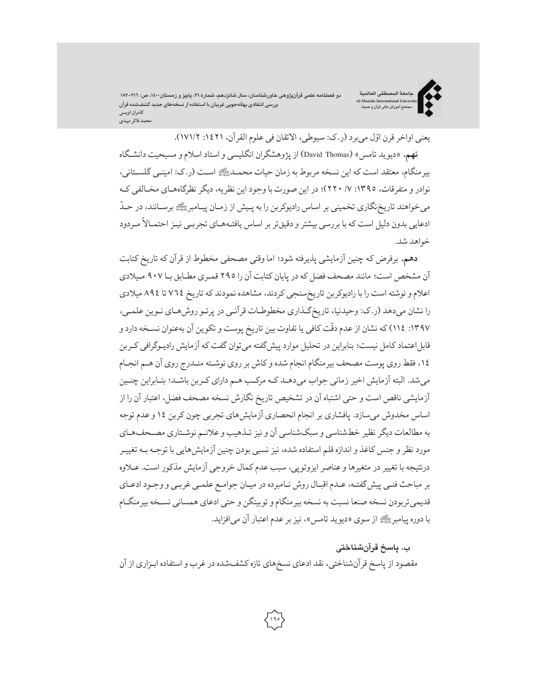دو فصلنامه علمی قرآنپژوهی خاورشناسان، سال شانزدهم، شماره ۳۱، پاییز و زمستان۱٬۱۰۰، ص: ۲۱٦–۱۸۲ **بررسی انتقادی بهانهجویی غربیان با استفاده از نسخههای جدید کشفشده قرآن کامران اویسی \محمد فاکر میبدی**

**جامعة المصطفی العالمیة Al-Mustafa International University مجتمع آموزش عالی قرآن و حدیث**



یعنی اواخر قرن اوّل میبرد (ر.ک: سیوطی، الاتقان فی علوم القرآن، ١٤٢١: ١٧١/٢). **نهم.**«دیوید تامس» (Thomas David (از پژوهشگران انگلیسی و استاد اسلامو مسیحیت دانشـگاه بیرمنگام، معتقد است که این نسخه مربوط به زمان حیات محمـد- اسـت (ر.ک: امینـی گلسـتانی، نوادر و متفرقات، :١٣٩٥ /٧ ٢٢٠)؛ در این صورت با وجود این نظریه،دیگرنظرگاههـای مخـالفی کـه ֖֖֖֖֧֧֧֧֧֧֦֧ׅ֧֧֧֦֧֦֧֧֧֧֧֦֧֧֧֧֧֧֧֧֧֧֧֧֧֧֧֧֧֧֧֚֚֚֚֚֚֚֡֝֓֓֓֓֝֓֓֝֬֓֓֓֝֬֓֝֓֜֓֓֝֬֓֓֓֓֓֓֓֓֓ میخواهند تاریخنگاری تخمینی بر اساس رادیوکربن را به پـیش از زمـان پیـامبرﷺ برسـانند، در حـدّ ًادعایی بدون دلیل است که با بررسی بیشتر و دقیقتر بر اساس یافتـههـای تجربـی نیـز احتمـالا مـردود خواهد شد.

**دهم.** برفرض که چنین آزمایشی پذیرفته شود؛ اما وقتی مصحفی مخطوط از قرآن که تاریخ کتابت آن مشخص است؛ مانند مصحف فضل که در پایان کتابت آن را ٢٩٥ قمـری مطـابق بـا ٩٠٧ مـیلادی اعلامو نوشته است را با رادیوکربن تاریخسنجی کردند، مشاهده نمودند که تاریخ ٧٦٤ تا ٨٩٤ میلادی را نشان میدهد (ر.ک: وحیدنیا، تاریخگـذاری مخطوطـات قرآنـی در پرتـو روشهـای نـوین علمـی، ١٣٩٧: ١١٤) که نشان از عدم دقّت کافی یا تفاوت بین تاریخ پوست و تکوین آن بهعنوان نسـخه دارد و قابل اعتماد کامل نیست؛ بنابراین در تحلیل موارد پیشگفته میتوان گفت که آزمایش رادیـوگرافی کـربن ،١٤ فقط روی پوست مصحف بیرمنگام انجام شده وکاش بر روی نوشـته منـدرج روی آن هـم انجـام میشد. البته آزمایش اخیر زمانی جواب میدهـد کـه مرکـب هـم دارای کـربن باشـد؛ بنـابراین چنـین آزمایشی ناقص است و حتی اشتباه آن در تشخیص تاریخ نگارش نسخه مصحف فضل، اعتبار آن را از اساس مخدوش میسازد. پافشاری بر انجام انحصاری آزمایشهای تجربی چون کربن ١٤ وعدم توجه به مطالعات دیگر نظیر خطشناسی و سبکشناسی آن و نیز تـذهیب وعلائـم نوشـتاری مصـحفهـای مورد نظر و جنس کاغذ و اندازه قلم استفاده شده، نیز نسبی بودن چنین آزمایشهایی با توجـه بـه تغییـر درنتیجه با تغییر در متغیرها وعناصر ایزوتوپی، سبب عدمکمال خروجی آزمایش مذکور است. عـلاوه بر مباحث فنـی پیشگفتـه،عـدم اقبـال روش نـامبرده در میـان جوامـع علمـی غربـی و وجـود ادعـای قدیمیتربودن نسخه صنعا نسبت به نسخه بیرمنگامو توبینگن و حتی ادعای همسانی نسـخه بیرمنگـام با دوره پیامبر- از سوی «دیوید تامس»، نیزبرعدماعتبار آن میافزاید.

#### **ب. پاسخ قرآنشناختی**

مقصود از پاسخ قرآنشناختی، نقد ادعای نسخهای تازهکشفشده درغرب و استفاده ابـزاری از آن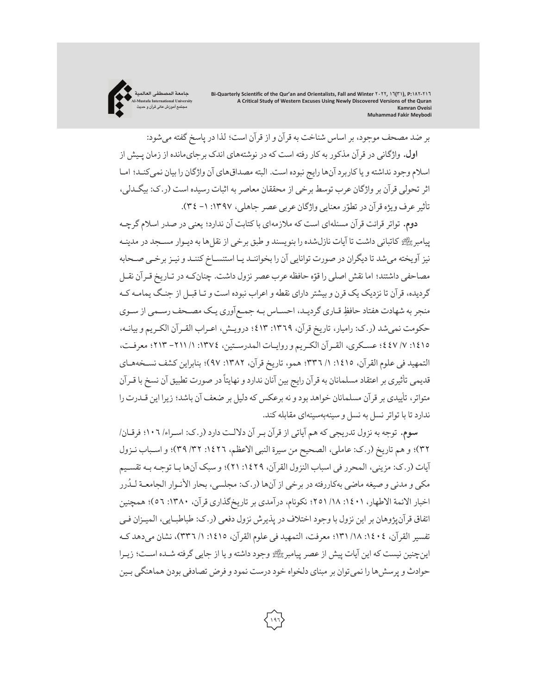

بر ضد مصحف موجود، براساس شناخت به قرآن و از قرآن است؛ لذا در پاسخ گفته میشود: **اول.** واژگانی در قرآن مذکور بهکار رفته است که در نوشتههای اندک برجایمانده از زمان پـیش از اسلام وجود نداشته و یاکاربردآنها رایج نبوده است. البته مصداقهای آن واژگان را بیان نمیکنـد؛ امـا اثر تحولی قرآن بر واژگان عرب توسط برخی از محققان معاصر به اثبات رسیده است (ر.ک: بیگـدلی، تأثیر عرف ویژه قرآن در تطوّر معنایی واژگان عربی عصر جاهلی، ١٣٩٧: ١- ٣٤).

**دوم.** تواتر قرائت قرآن مسئلهای است که ملازمهای باکتابت آن ندارد؛ یعنی در صدر اسلامگرچـه پیامبر رکھتے کاتبانی داشت تا آیات نازل شده را بنویسند و طبق برخی از نقل ها به دیـوار مسـجد در مدینـه نیز آویخته میشد تا دیگران در صورت توانایی آن را بخواننـد یـا استنسـاخ کننـد و نیـزبرخـی صـحابه مصاحفی داشتند؛ اما نقش اصلی را قوّه حافظه عرب عصر نزول داشت. چنان کـه در تـاریخ قـرآن نقـل گردیده، قرآن تا نزدیک یک قرن و بیشتر دارای نقطه و اعراب نبوده است و تـا قبـل از جنـگ یمامـهکـه منجر به شهادت هفتاد حافظِ قـاری گردیـد، احسـاس بـه جمـع|وری یـک مصـحف رسـمی از سـوی حکومت نمیشد (ر.ک: رامیار، تاریخ قرآن، :١٣٦٩ ٤١٣؛ درویـش، اعـراب القـرآن الکـریم و بیانـه، ١٤١٥: ٧/ ٤٤٧؛ عسكري، القـرآن الكـريم و روايـات المدرسـتين، ١٣٧٤: ١/ ٢١١ - ٢١٣؛ معرفت، التمهید فی علوم القرآن، :١٤١٥ /١ ٣٣٦؛ همو، تاریخ قرآن، :١٣٨٢ ٩٧)؛ بنابراین کشف نسـخههـای ًقدیمی تاثیری بر اعتقاد مسلمانان به قرآن رایج بین آنان ندارد و نهایتا در صورت تطبیق آن نسخ با قـرآن متواتر، تأییدی برقرآن مسلمانان خواهد بود و نه برعکس که دلیل بر ضعف آن باشد؛ زیرا این قـدرت را ندارد تا با تواتر نسل به نسل و سینهبهسینهای مقابله کند.

**سوم.** توجه به نزول تدریجی که هم آیاتی از قرآن بـر آن دلالـت دارد (ر.ک: اسـراء/ ١٠٦؛ فرقـان/ ٣٢)؛ و هم تاریخ (ر.ک: عاملی، الصحیح من سیرة النبی الاعظم، :١٤٢٦ /٣٢ ٣٩)؛ و اسـباب نـزول آیات (ر.ک: مزینی، المحرر فی اسباب النزول القرآن، :١٤٢٩ ٢١)؛ و سبک آنها بـا توجـه بـه تقسـیم ُمکی و مدنی و صیغه ماضی بهکاررفته در برخی از آنها (ر.ک: مجلسی، بحار الانـوار الجامعـة لـدرر اخبار الائمة الاطهار، :١٤٠١ /١٨ ٢٥١؛ نکونام، درآمدی بر تاریخگذاری قرآن، :١٣٨٠ ٥٦)؛ همچنین اتفاق قرآنپژوهان بر این نزول با وجود اختلاف در پذیرش نزول دفعی (ر.ک: طباطبـایی، المیـزان فـی تفسیر القرآن، ١٤٠٤: ١٨/ ١٣١؛ معرفت، التمهید فی علوم القرآن، ١٤١٥: ١/ ٣٣٦)، نشان می دهد کـه اینچنین نیست که این آیات پیش از عصر پیامبرﷺ وجود داشته و یا از جایی گرفته شـده اسـت؛ زیـرا حوادث و پرسشها را نمیتوان برمبنای دلخواه خود درست نمود و فرض تصادفی بودن هماهنگی بـین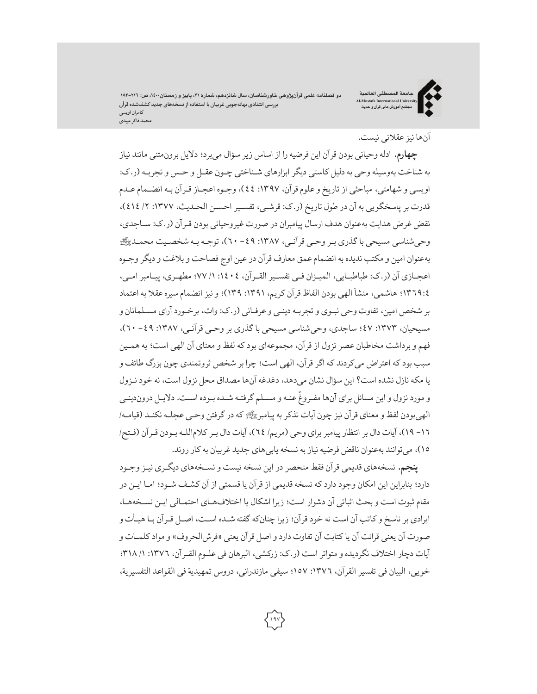دو فصلنامه علمی قرآنپژوهی خاورشناسان، سال شانزدهم، شماره ۳۱، پاییز و زمستان۱٬۱۰۰، ص: ۲۱٦–۱۸۲ **بررسی انتقادی بهانهجویی غربیان با استفاده از نسخههای جدید کشفشده قرآن کامران اویسی \محمد فاکر میبدی**

**جامعة المصطفی العالمیة Al-Mustafa International University مجتمع آموزش عالی قرآن و حدیث**



## آنها نیزعقلانی نیست.

**چهارم.** ادله وحیانی بودن قرآن این فرضیه را از اساس زیر سؤال میبرد؛ دلایل برونمتنی مانند نیاز به شناخت بهوسیله وحی به دلیل کاستی دیگر ابزارهای شـناختی چـون عقـل و حـس و تجربـه (ر.ک: اویسی و شهامتی، مباحثی از تاریخ وعلوم قرآن، :١٣٩٧ ٤٤)، وجـوه اعجـاز قـرآن بـه انضـمامعـدم قدرت بر پاسخگویی به آن در طول تاریخ (ر.ک: قرشـی، تفسـیراحسـن الحـدیث، :١٣٧٧ /٢ ٤١٤)، نقض غرض هدایت بهعنوان هدف ارسال پیامبران در صورت غیروحیانی بودن قـرآن (ر.ک: سـاجدی، وحیشناسی مسیحی باگذری بـر وحـی قرآنـی، :١٣٨٧ -٤٩ ٦٠)، توجـه بـه شخصـیت محمـد- بهعنوان امین و مکتب ندیده به انضمامعمق معارف قرآن درعین اوج فصاحت و بلاغت و دیگر وجـوه اعجـازی آن (ر.ک: طباطبـایی، المیـزان فـی تفسـیرالقـرآن، :١٤٠٤ /١ ٧٧؛ مطهـری، پیـامبرامـی، ١٣٦٩:٤؛ هاشمی، منشأ الهی بودن الفاظ قرآن کریم، :١٣٩١ ١٣٩)؛ و نیز انضمام سیرهعقلا به اعتماد بر شخص امین، تفاوت وحی نبـوی و تجربـه دینـی وعرفـانی (ر.ک: وات، برخـوردآرای مسـلمانان و مسیحیان، :١٣٧٣ ٤٧؛ ساجدی، وحیشناسی مسیحی با گذری بر وحـی قرآنـی، :١٣٨٧ -٤٩ ٦٠)، فهم و برداشت مخاطبان عصر نزول از قرآن، مجموعهای بودکه لفظ و معنای آن الهی است؛ به همـین سبب بود که اعتراض میکردند که اگر قرآن، الهی است؛ چرا بر شخص ثروتمندی چون بزرگ طائف و یا مکه نازل نشده است؟این سؤال نشان میدهد، دغدغه آنها مصداق محل نزول است، نه خود نـزول و مورد نزول و این مسائل برای آنها مفـروغٌ عنـه و مسـلم گرفتـه شـده بـوده اسـت. دلایـل دروندینـی الهیبودن لفظ و معنای قرآن نیز چون آیات تذکربه پیامبر-که درگرفتن وحـی عجلـه نکنـد (قیامـه/ -١٦ ١٩)، آیات دال برانتظار پیامبربرای وحی (مریم/ ٦٤)، آیات دال بـرکلاماللـه بـودن قـرآن (فـتح/ ١٥)، می توانند بهعنوان ناقض فرضیه نیاز به نسخه پابی های جدید غربیان به کار روند.

**پنجم.** نسخههای قدیمی قرآن فقط منحصر در این نسخه نیست و نسـخههای دیگـری نیـز وجـود دارد؛ بنابراین این امکان وجود داردکه نسخه قدیمی از قرآن یا قسمتی از آن کشـف شـود؛ امـا ایـن در مقام ثبوت است و بحث اثباتی آن دشوار است؛ زیرا اشکال یا اختلافهـای احتمـالی ایـن نسـخههـا، ایرادی بر ناسخ وکاتب آن است نه خود قرآن؛ زیرا چنانکهگفته شـده اسـت، اصـل قـرآن بـا هیـأت و صورت آن یعنی قرائت آن یا کتابت آن تفاوت دارد و اصل قرآن یعنی «فرشالحروف» و موادکلمـات و آیات دچار اختلاف نگردیده و متواتر است (ر.ک: زرکشی، البرهان فی علـوم القـرآن، :١٣٧٦ /١ ٣١٨؛ خویی، البیان فی تفسیر القرآن، :١٣٧٦ ١٥٧؛ سیفی مازندرانی، دروس تمهیدیة فی القواعد التفسیریة،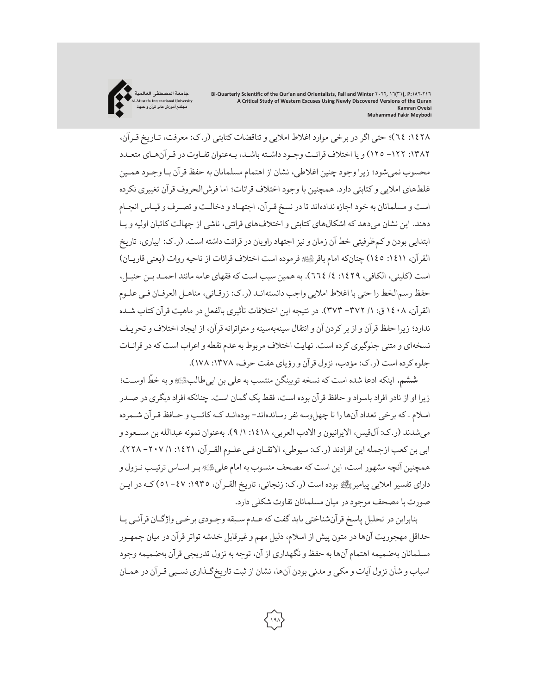

:١٤٢٨ ٦٤)؛ حتی اگر در برخی موارد اغلاط املایی و تناقضات کتابتی (ر.ک: معرفت، تـاریخ قـرآن، :١٣٨٢ -١٢٢ ١٢٥) و یا اختلافقرائـت وجـود داشـته باشـد، بـهعنوان تفـاوت در قـرآنهـای متعـدد محسوب نمیشود؛ زیرا وجود چنین اغلاطی، نشان از اهتماممسلمانان به حفظ قرآن بـا وجـود همـین غلطهای املایی و کتابتی دارد. همچنین با وجود اختلاف قرائات؛ اما فرشالحروف قرآن تغییری نکرده است و مسلمانان به خود اجازه ندادهاند تا در نسخ قـرآن، اجتهـاد و دخالـت و تصـرفو قیـاس انجـام دهند. این نشان میدهد که اشکالهای کتابتی و اختلافهای قرائتی، ناشی از جهالت کاتبان اولیه و یـا ابتدایی بودن وکمظرفیتی خط آن زمان و نیز اجتهاد راویان در قرائت داشته است. (ر.ک: ابیاری، تاریخ القرآن، ١٤١١: ١٤٥) چنانکه امام باقرﷺ فرموده است اختلاف قرائات از ناحیه روات (یعنی قاریـان) است (کلینی، الکافی، :١٤٢٩ /٤ ٦٦٤). به همین سبب است که فقهای عامه مانند احمـد بـن حنبـل، حفظ رسمالخط را حتی با اغلاط املایی واجب دانستهانـد (ر.ک: زرقـانی، مناهـل العرفـان فـی علـوم القرآن، ١٤٠٨ ق: /١ -٣٧٢ ٣٧٣). در نتیجه این اختلافات تأثیری بالفعل در ماهیت قرآن کتاب شـده ندارد؛ زیرا حفظ قرآن و از برکردن آن و انتقال سینهبهسینه و متواترانه قرآن، از ایجاد اختلافو تحریـف نسخهای و متنی جلوگیری کرده است. نهایت اختلاف مربوط به عدم نقطه و اعراب است که در قرائـات جلوه کرده است (ر.ک: مؤدب، نزول قرآن و رؤیای هفت حرف، ١٣٧٨: ١٧٨).

֧֦֧֦֧֦֧֦֧֦֧֦֧֦֧֦֧֦֧ׅ֧֚֡֬֝֬֜֓֓<u>֓</u> **ششم.** اینکه ادعا شده است که نسخه توبینگن منتسب بهعلی بن ابیطالب\$ اوسـت؛ و به خط زیرا او از نادر افراد باسواد و حافظ قرآن بوده است، فقط یک گمان است. چنانکه افراد دیگری در صـدر اسلام - که برخی تعداد آنها را تا چهل وسه نفر رساندهاند- بودهانـد کـه کاتـب و حـافظ قـر آن شـمرده می شدند (ر.ک: آل قیس، الایرانیون و الادب العربی، ١٤١٨: ١/ ٩). بهعنوان نمونه عبدالله بن مسـعود و ابی بن کعب ازجمله این افرادند (ر.ک: سیوطی، الاتقـان فـی علـوم القـرآن، :١٤٢١ /١ -٢٠٧ ٢٢٨). همچنین آنچه مشهور است، این است که مصحف منسوب به امام علیﷺبـر اسـاس ترتیـب نـزول و دارای تفسیر املایی پیامبر- بوده است (ر.ک: زنجانی، تاریخ القـرآن، :١٩٣٥ -٤٧ ٥١) کـه در ایـن صورت با مصحف موجود در میان مسلمانان تفاوت شکلی دارد.

بنابراین در تحلیل پاسخ قرآنشناختی باید گفت کهعـدم سـبقه وجـودی برخـی واژگـان قرآنـی یـا حداقل مهجوریت آنها در متون پیش از اسلام، دلیل مهم وغیرقابل خدشه تواترقرآن در میان جمهـور مسلمانان بهضمیمه اهتمامآنها به حفظ و نگهداری از آن، توجه به نزول تدریجی قرآن بهضمیمه وجود اسباب و شأن نزول آیات و مکی و مدنی بودن آنها، نشان از ثبت تاریخگـذاری نسـبی قـرآن در همـان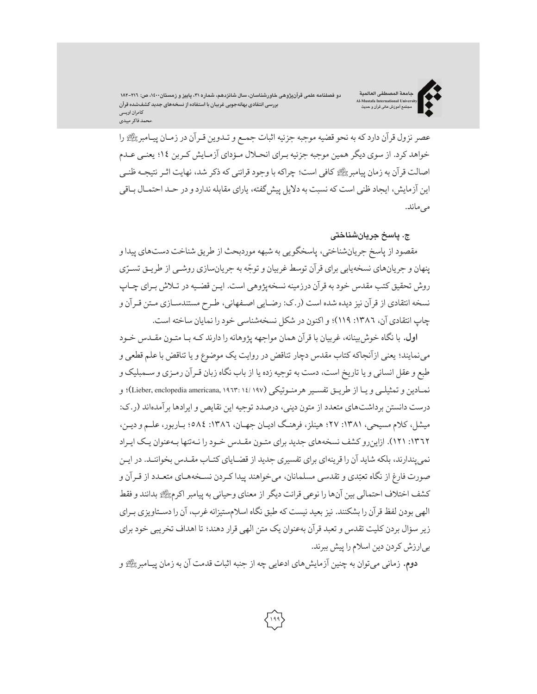دو فصلنامه علمی قرآنپژوهی خاورشناسان، سال شانزدهم، شماره ۳۱، پاییز و زمستان۱٬۱۰۰، ص: ۲۱٦–۱۸۲ **بررسی انتقادی بهانهجویی غربیان با استفاده از نسخههای جدید کشفشده قرآن کامران اویسی \محمد فاکر میبدی**

**جامعة المصطفی العالمیة Al-Mustafa International University مجتمع آموزش عالی قرآن و حدیث**



عصر نزول قرآن داردکه به نحو قضیه موجبه جزئیه اثبات جمـع و تـدوین قـرآن در زمـان پیـامبر-را خواهد کرد. از سوی دیگر همین موجبه جزئیه بـرای انحـلال مـؤدای آزمـایش کـربن ١٤؛ یعنـی عـدم اصالت قرآن به زمان پیامبر- کافی است؛ چراکه با وجود قرائنی که ذکر شد، نهایت اثـرنتیجـه ظنـی این آزمایش، ایجاد ظنی است که نسبت به دلایل پیشگفته، یارای مقابله نداردو در حـد احتمـال بـاقی می ماند.

#### **ج. پاسخ جریانشناختی**

مقصود از پاسخ جریانشناختی، پاسخگویی به شبهه موردبحث از طریق شناخت دستهای پیداو پنهان و جریانهای نسخهیابی برای قرآن توسط غربیان و توجّه به جریانسازی روشـی از طریـق تسـرّی روش تحقیق کتب مقدس خود به قرآن درزمینه نسخهپژوهی است. ایـن قضـیه در تـلاش بـرای چـاپ نسخه انتقادی از قرآن نیز دیده شده است (ر.ک: رضـایی اصـفهانی، طـرح مستندسـازی مـتن قـرآن و چاپ انتقادی آن، :١٣٨٦ ١١٩)؛ و اکنون در شکل نسخهشناسی خود را نمایان ساخته است.

**اول.** با نگاه خوشبینانه،غربیان با قرآن همان مواجهه پژوهانه را دارند کـه بـا متـون مقـدس خـود مینمایند؛ یعنی ازآنجاکه کتاب مقدس دچار تناقض در روایت یک موضوع و یا تناقض باعلم قطعی و طبع وعقل انسانی و یا تاریخ است، دست به توجیه زده یا از باب نگاه زبان قـرآن رمـزی و سـمبلیک و نمـادین و تمثیلـی و یـا از طریـق تفسـیر هرمنـوتیکی (۱۹۷ /۱۹۷ /Lieber, enclopedia americana, ۱۹۲۳: ۱٤ / ۹۷ )؛ و درست دانستن برداشتهای متعدد از متون دینی، درصدد توجیه این نقایص و ایرادها برآمدهاند (ر.ک: میشل، کلام مسیحی، :١٣٨١ ٢٧؛ هینلز، فرهنـگ ادیـان جهـان، :١٣٨٦ ٥٨٤؛ بـاربور،علـم و دیـن، :١٣٦٢ ١٢١). ازاینروکشف نسخههای جدید برای متـون مقـدس خـود را نـهتنها بـهعنوان یـک ایـراد نمیپندارند، بلکه شاید آن را قرینهای برای تفسیری جدید از قضـایای کتـاب مقـدس بخواننـد. در ایـن صورت فارغ از نگاه تعبّدي و تقدسی مسلمانان، میخواهند پیدا کـردن نسـخههـای متعـدد از قـرآن و کشف اختلاف احتمالی بین آنها را نوعی قرائت دیگر از معنای وحیانی به پیامبراکرم-بدانند و فقط الهی بودن لفظ قرآن را بشکنند. نیزبعید نیست که طبق نگاه اسلامستیزانهغرب، آن را دسـتاویزی بـرای زیر سؤال بردن کلیت تقدس و تعبد قرآن بهعنوان یک متن الهی قرار دهند؛ تا اهداف تخریبی خود برای بیارزش کردن دین اسلام را پیش ببرند.

**دوم.** زمانی میتوان به چنین آزمایشهای ادعایی چه از جنبه اثبات قدمت آن به زمان پیـامبر- و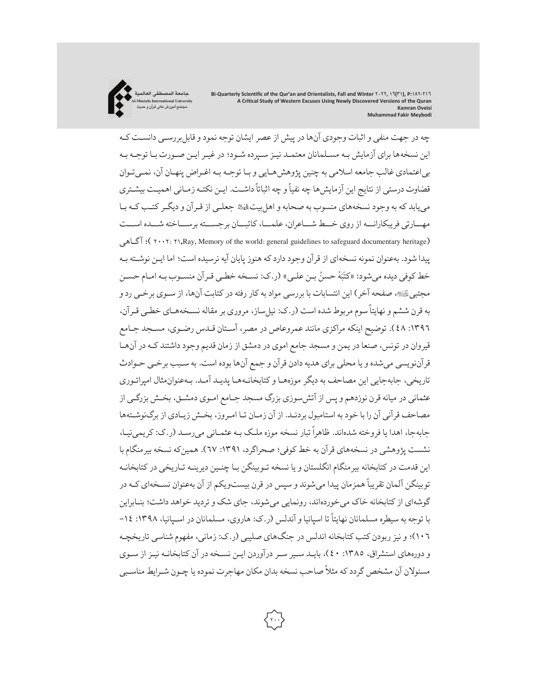

چه در جهت منفی و اثبات وجودی آنها در پیش از عصر ایشان توجه نمود و قابلبررسـی دانسـت کـه این نسخهها برای آزمایش بـه مسـلمانان معتمـد نیـز سـپرده شـود؛ درغیـرایـن صـورت بـا توجـه بـه بیاعتمادی غالب جامعه اسلامی به چنین پژوهشهـایی و بـا توجـه بـه اغـراض پنهـان آن، نمـیتـوان ًقضاوت درستی از نتایج این آزمایش،ا چه نفیاً و چه اثباتاً داشـت. ایـن نکتـه زمـانی اهمیـت بیشـتری می یابد که به وجود نسخههای منسوب به صحابه و اهل بیت، ائه جعلـی از قـرآن و دیگـر کتـب کـه بـا مهـــارتی فریبکارانـــه از روی خـــط شـــاعران،علمـــا،کاتبـــان برجســـته برســـاخته شـــده اســـت آگـاهی ؛ )٢٠٠٢: ٢١,Ray, Memory of the world: general guidelines to safeguard documentary heritage) پیدا شود. بهعنوان نمونه نسخهای از قرآن وجود داردکه هنوز پایان آیه نرسیده است؛ اما ایـن نوشـته بـه خط کوفی دیده میشود: «کتَبَهُ حسنُ بـن علـی» (ر.ک: نسـخه خطـی قـرآن منسـوب بـه امـام حسـن َُ مجتبی،ﷺ، صفحه آخر) این انتسابات با بررسی مواد به کار رفته در کتابت آنها، از سـوی برخـی رد و به قرن ششم و نهایتاً سوم مربوط شده است (ر.ک: نیل ساز، مروری بر مقاله نسـخههـای خطـی قـرآن، :١٣٩٦ ٤٨). توضیح اینکه مراکزی مانند عمروعاص در مصر، آسـتان قـدس رضـوی، مسـجد جـامع قیروان در تونس، صنعا در یمن و مسجد جامع اموی در دمشق از زمان قدیم وجود داشتند کـه در آنهـا قرآننویسی میشده و یا محلی برای هدیه دادن قرآن و جمع آنها بوده است. به سـبب برخـی حـوادث تاریخی، جابهجایی این مصاحف به دیگر موزههـا وکتابخانـههـا پدیـد آمـد. بـهعنوانمثال امپراتـوری عثمانی در میانه قرن نوزدهم و پس از آتشسوزی بزرگ مسجد جـامع امـوی دمشـق، بخـش بزرگـی از مصاحف قرآنی آن را با خود به استامبول بردنـد. از آن زمـان تـا امـروز، بخـش زیـادی از برگنوشـتهها حابهجا، اهدا یا فروخته شدهاند. ظاهراً تبار نسخه موزه ملک بـه عثمـانی می رسـد (ر.ک: کریمی نیـا، نشست پژوهشی در نسخههای قرآن به خط کوفی؛ صحراگرد، :١٣٩١ ٦٧). همینکه نسخه بیرمنگام با این قدمت در کتابخانه بیرمنگام انگلستان و یا نسخه تـوبینگن بـا چنـین دیرینـه تـاریخی درکتابخانـه توبینگن آلمان تقریباً همزمان پیدا می شوند و سپس در قرن بیستویکم از آن بهعنوان نسـخهای کـه در گوشهای ازکتابخانه خاک میخوردهاند، رونمایی میشوند، جای شک و تردید خواهد داشت؛ بنـابراین با توجه به سیطره مسلمانان نهایتاً تا اسپانیا و آندلس (ر.ک: هاروی، مسلمانان در اسـپانیا، ۱۳۹۸: ۱۶-١٠٦)؛ و نیز ربودن کتب کتابخانه اندلس در جنگهای صلیبی (ر.ک: زمانی، مفهوم شناسی تاریخچـه و دورههای استشراق، ١٣٨٥: ٤٠)، بایـد سـیر سـر درآوردن ایـن نسـخه در آن کتابخانـه نیـز از سـوی ًمسئولان آن مشخص گردد که مثلاً صاحب نسخه بدان مکان مهاجرت نموده یا چـون شـرایط مناسـبی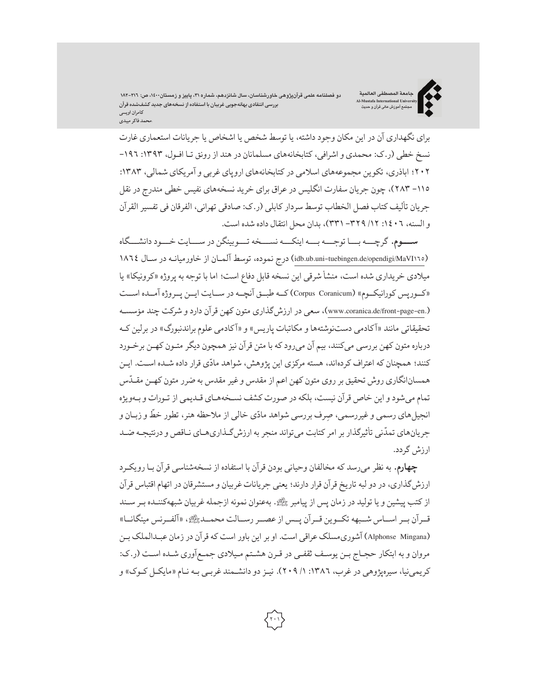دو فصلنامه علمی قرآنپژوهی خاورشناسان، سال شانزدهم، شماره ۳۱، پاییز و زمستان۱٬۱۰۰، ص: ۲۱٦–۱۸۲ **بررسی انتقادی بهانهجویی غربیان با استفاده از نسخههای جدید کشفشده قرآن کامران اویسی \محمد فاکر میبدی**

**جامعة المصطفی العالمیة Al-Mustafa International University مجتمع آموزش عالی قرآن و حدیث**



برای نگهداری آن در این مکان وجود داشته، یا توسط شخص یا اشخاص یا جریانات استعماری غارت نسخ خطی (ر.ک: محمدی و اشرافی، کتابخانههای مسلمانان در هند از رونق تـا افـول، ١٣٩٣: ١٩٦-٢٠٢؛ اباذری، تکوین مجموعههای اسلامی درکتابخانههای اروپای غربی و آمریکای شمالی، :١٣٨٣ -١١٥ ٢٨٣)، چون جریان سفارت انگلیس درعراق برای خرید نسخههای نفیس خطی مندرج در نقل جریان تألیف کتاب فصل الخطاب توسط سردار کابلی (ر.ک: صادقی تهرانی، الفرقان فی تفسیر القرآن و السنه، :١٤٠٦ /١٢ -٣٢٩ ٣٣١)، بدان محل انتقال داده شده است.

**ســـوم.** گرچـــه بـــا توجـــه بـــه اینکـــه نســـخه تـــوبینگن در ســـایت خـــود دانشـــگاه (١٨٦٤MaVI)oe.jidb.ub.uni-tuebingen.de/opendigi/MaVI) درج نموده، توسط آلمـان از خاورمیانـه در سـال ١٨٦٤ میلادی خریداری شده است، منشأ شرقی این نسخه قابل دفاع است؛ اما با توجه به پروژه «کرونیکا» یا «کــورپس کورانیکــوم» (Coranicum Corpus (کــه طبــق آنچــه در ســایت ایــن پــروژه آمــده اســت (.www.coranica.de/front-page-en)، سعی در ارزش گذاری متون کهن قرآن دارد و شرکت چند مؤسسـه تحقیقاتی مانند «آکادمی دستنوشتهها و مکاتبات پاریس» و «آکادمی علوم براندنبورگ» در برلین کـه درباره متون کهن بررسی میکنند، بیم آن میرودکه با متن قرآن نیز همچون دیگر متـون کهـن برخـورد ֧֦֧֦֧֦֧֓֝<u>֓</u> کنند؛ همچنان که اعتراف کردهاند، هسته مرکزی این پژوهش، شواهد مادّی قرار داده شـده اسـت. ایـن ֧֧֧֧֧֦֧ׅ֧֧ׅ֧֧֧ׅ֧֧ׅ֧֦֧֡֝֟֓֝֟֓֝֬֝֓֜֓֝֬֜֓֝֬֜֓֜֓ همسان|نگاری روش تحقیق بر روی متون کهن اعم از مقدس و غیر مقدس به ضرر متون کهـن مقـدس تمام میشود و این خاص قرآن نیست، بلکه در صورت کشف نسـخههـای قـدیمی از تـورات و بـهویژه ֧֦֧֦֧֚֡֬<u>֓</u> انجیلهای رسمی و غیررسمی، صِرف بررسی شواهد مادّی خالی از ملاحظه هنر، تطور خط و زبـان و ֧֦֧֦֧֦֧֦֧֦֧֝֝<u>֓</u> جریانهای تمدّنی تأثیرگذار بر امر کتابت می تواند منجر به ارزش گـذاریهـای نـاقص و درنتیجـه ضـد ارزش گردد.

**چهارم.** به نظر میرسد که مخالفان وحیانی بودن قرآن با استفاده از نسخهشناسی قرآن بـا رویکـرد ارزش گذاری، در دو لبه تاریخ قرآن قرار دارند؛ یعنی جریانات غربیان و مستشرقان در اتهام اقتباس قرآن از کتب پیشین و یا تولید در زمان پس از پیامبر پیش بهعنوان نمونه ازجمله غربیان شبههکننـده بـر سـند قــرآن بــراســاس شــبهه تکــوین قــرآن پــس ازعصــررســالت محمــد،- «آلفــرنس مینگانــا» (Mingana Alphonse (آشوریمسلک عراقی است. او براین باور است که قرآن در زمان عبـدالملک بـن مروان و به ابتکار حجـاج بـن یوسـف ثقفـی در قـرن هشـتم مـیلادی جمـعآوری شـده اسـت (ر.ک: کریمی نیا، سیرهیژوهی در غرب، ١٣٨٦: ١/ ٢٠٩). نیـز دو دانشـمند غربـی بـه نـام «مایکـل کـوک» و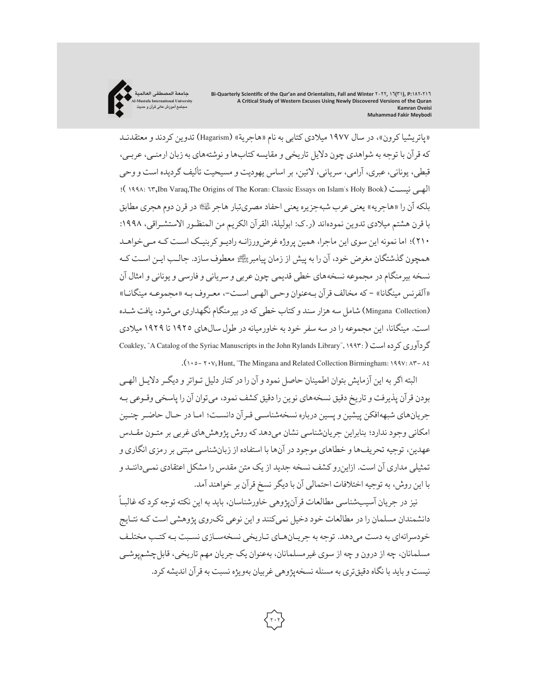

«پاتریشیا کرون»، در سال ١٩٧٧ میلادی کتابی به نام «هاجریة» (Hagarism (تدوین کردند و معتقدنـد که قرآن با توجه به شواهدی چون دلایل تاریخی و مقایسهکتابها و نوشتههای به زبان ارمنـی،عربـی، قبطی، یونانی،عبری، آرامی، سریانی، لاتین، بر اساس یهودیت و مسیحیت تألیف گردیده است و وحی ؛ )١٩٩٨: ٦٣,Ibn Varaq,The Origins of The Koran: Classic Essays on Islam's Holy Book) نیسـت الهـی بلکه آن را «هاجریه» یعنی عرب شبهجزیره یعنی احفاد مصریتبار هاجر ﷺ در قرن دوم هجری مطابق با قرن هشتم میلادی تدوین نمودهاند (ر.ک: ابولیلة، القرآن الکریم من المنظـور الاستشـراقی، :١٩٩٨ ٢١٠)؛ اما نمونه این سوی این ماجرا، همین پروژهغرضورزانـه رادیـوکربنیـک اسـت کـه مـیخواهـد همچون گذشتگان مغرض خود، آن را به پیش از زمان پیامبرﷺ معطوف سازد. جالـب ایـن اسـت کـه نسخه بیرمنگام در مجموعه نسخههای خطی قدیمی چون عربی و سریانی و فارسی و یونانی و امثال آن «آلفرنس مینگانا» - که مخالف قرآن بـهعنوان وحـی الهـی اسـت،- معـروفبـه «مجموعـه مینگانـا» (Mingana Collection) شامل سه هزار سند و کتاب خطی که در بیر منگام نگهداری می شود، یافت شـده است. مینگانا، این مجموعه را در سه سفر خود به خاورمیانه در طول سالهای ١٩٢٥ تا ١٩٢٩ میلادی Coakley, "A Catalog of the Syriac Manuscripts in the John Rylands Library", ١٩٩٣: )است کرده گردآوری .(١٠٥- ٢٠٧; Hunt, "The Mingana and Related Collection Birmingham: ١٩٩٧:  $\Lambda^2 - \Lambda^2$ 

البته اگر به این آزمایش بتوان اطمینان حاصل نمود و آن را درکنار دلیل تـواترو دیگـردلایـل الهـی بودن قرآن پذیرفت و تاریخ دقیق نسخههای نوین رادقیق کشف نمود، میتوان آن را پاسخی وقـوعی بـه جریانهای شبههافکن پیشین و پسین درباره نسخهشناسـی قـرآن دانسـت؛ امـا در حـال حاضـر چنـین امکانی وجود ندارد؛ بنابراین جریانشناسی نشان میدهد که روش پژوهشهای غربی بر متـون مقـدس عهدین، توجیه تحریفها و خطاهای موجود در آنها با استفاده از زبانشناسی مبتنی بررمزی انگاری و تمثیلی مداری آن است. ازاینروکشف نسخه جدید از یک متن مقدس را مشکل اعتقادی نمـیداننـد و با این روش، به توجیه اختلافات احتمالی آن با دیگرنسخ قرآن بر خواهند آمد.

ًنیز در جریان آسیبشناسی مطالعات قرآنپژوهی خاورشناسان، باید به این نکته توجه کرد که غالبـا دانشمندان مسلمان را در مطالعات خود دخیل نمیکنند و این نوعی تکروی پژوهشی است کـه نتـایج خودسرانهای به دست میدهد. توجه به جریـانهـای تـاریخی نسخهسـازی نسـبت بـهکتـب مختلـف مسلمانان، چه از درون و چه از سوی غیرمسلمانان، بهعنوان یک جریان مهم تاریخی، قابلچشمپوشـی نیست و باید با نگاه دقیقتری به مسئله نسخهپژوهی غربیان بهویژه نسبت به قرآن اندیشهکرد.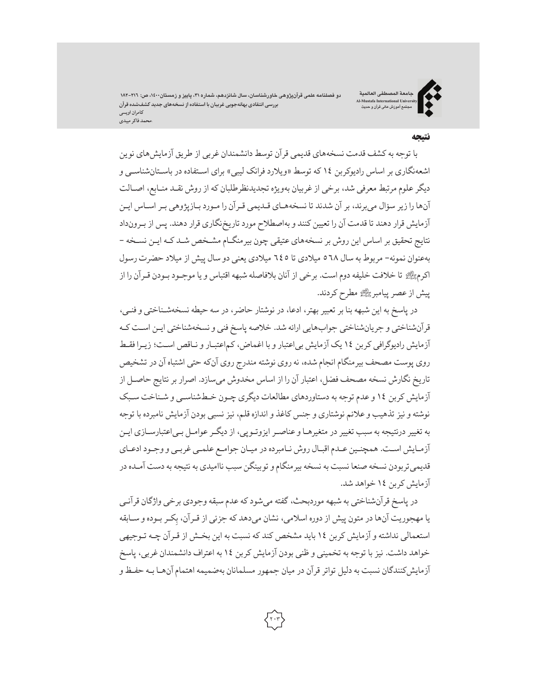دو فصلنامه علمی قرآنپژوهی خاورشناسان، سال شانزدهم، شماره ۳۱، پاییز و زمستان۱٬۱۰۰، ص: ۲۱٦–۱۸۲ **بررسی انتقادی بهانهجویی غربیان با استفاده از نسخههای جدید کشفشده قرآن کامران اویسی \محمد فاکر میبدی**

**جامعة المصطفی العالمیة Al-Mustafa International University مجتمع آموزش عالی قرآن و حدیث**



#### نتیجه

با توجه بهکشف قدمت نسخههای قدیمی قرآن توسط دانشمندان غربی از طریق آزمایشهای نوین اشعهنگاری بر اساس رادیوکربن ١٤ که توسط «ویلارد فرانک لیبی» برای اسـتفاده در باسـتانشناسـی و دیگر علوم مرتبط معرفی شد، برخی از غربیان بهویژه تجدیدنظرطلبان که از روش نقـد منـابع، اصـالت آنها را زیر سؤال میبرند، بر آن شدند تا نسخههـای قـدیمی قـرآن را مـورد بـازپژوهی بـراسـاس ایـن آزمایش قرار دهند تا قدمت آن را تعیین کنند و بهاصطلاح موردتاریخنگاری قرار دهند. پس از بـرونداد نتایج تحقیق بر اساس این روش بر نسخههای عتیقی چون بیرمنگـام مشـخص شـد کـه ایـن نسـخه - بهعنوان نمونه- مربوط به سال ٥٦٨ میلادی تا ٦٤٥ میلادی یعنی دو سال پیش از میلاد حضرت رسول اکرم- تا خلافت خلیفه دوم است. برخی از آنان بلافاصله شبهه اقتباس و یا موجـود بـودن قـرآن را از پیش ازعصر پیامبر-مطرح کردند.

در پاسخ به این شبهه بنا بر تعبیر بهتر، ادعا، در نوشتار حاضر، در سه حیطه نسخهشـناختی و فنـی، قرآنشناختی و جریانشناختی جوابهایی ارائه شد. خلاصه پاسخ فنی و نسخهشناختی ایـن اسـت کـه آزمایش رادیوگرافی کربن ١٤ یک آزمایش بیاعتبار و با اغماض،کماعتبـار و نـاقص اسـت؛ زیـرا فقـط روی پوست مصحف بیرمنگام انجام شده، نه روی نوشته مندرج روی آنکه حتی اشتباه آن در تشخیص تاریخ نگارش نسخه مصحف فضل، اعتبار آن را از اساس مخدوش میسازد. اصرار برنتایج حاصـل از آزمایش کربن ١٤ وعدم توجه به دستاوردهای مطالعات دیگری چـون خـطشناسـی و شـناخت سـبک نوشته و نیز تذهیب وعلائم نوشتاری و جنس کاغذ و اندازه قلم، نیز نسبی بودن آزمایش نامبرده با توجه به تغییر درنتیجه به سبب تغییردر متغیرهـا وعناصـرایزوتـوپی، از دیگـرعوامـل بـیاعتبارسـازی ایـن آزمـایش اسـت. همچنـین عـدماقبـال روش نـامبرده در میـان جوامـع علمـی غربـی و وجـود ادعـای قدیمی تربودن نسخه صنعا نسبت به نسخه بیرمنگام و توبینگن سبب ناامیدی به نتیجه به دست آمـده در آزمایش کربن ١٤ خواهد شد.

در پاسخ قرآنشناختی به شبهه موردبحث، گفته میشود که عدم سبقه وجودی برخی واژگان قرآنـی یا مهجوریت آنها در متون پیش از دوره اسلامی، نشان میدهد که جزئی از قـرآن، بِکـر بـوده و ســابقه<br>-استعمالی نداشته و آزمایش کربن ١٤ باید مشخص کند که نسبت به این بخـش از قـرآن چـه تـوجیهی خواهد داشت. نیز با توجه به تخمینی و ظنی بودن آزمایش کربن ١٤ به اعتراف دانشمندان غربی، پاسخ آزمایش کنندگان نسبت به دلیل تواتر قرآن در میان جمهور مسلمانان بهضمیمه اهتمام آنهـا بـه حفـظ و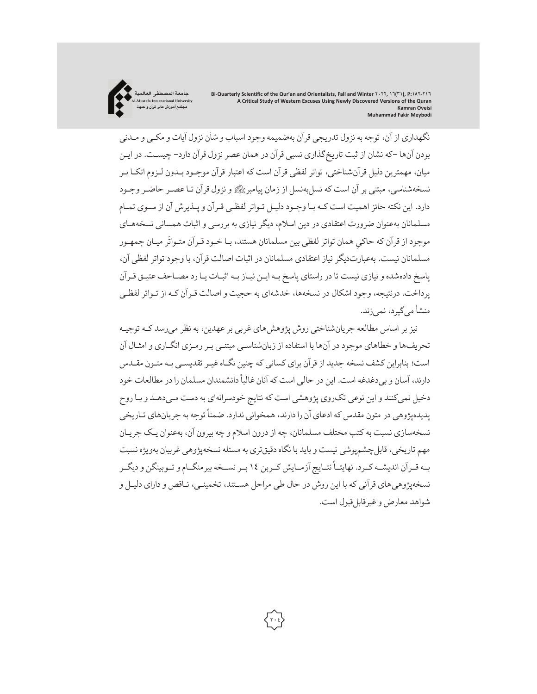

نگهداری از آن، توجه به نزول تدریجی قرآن بهضمیمه وجود اسباب و شأن نزول آیات و مکـی و مـدنی بودن آنها -که نشان از ثبت تاریخگذاری نسبی قرآن در همان عصرنزول قرآن دارد- چیسـت. در ایـن میان، مهمترین دلیل قرآنشناختی، تواتر لفظی قرآن است که اعتبار قرآن موجـود بـدون لـزوم اتکـا بـر نسخهشناسی، مبتنی بر آن است که نسل بهنسل از زمان پیامبر رکھتے و نزول قرآن تـا عصـر حاضـر وجـود دارد. این نکته حائز اهمیت است کـه بـا وجـود دلیـل تـواتر لفظـی قـرآن و پـذیرش آن از سـوی تمـام مسلمانان بهعنوان ضرورت اعتقادی در دین اسلام، دیگر نیازی به بررسی و اثبات همسانی نسخههـای َموجود از قرآن که حاکیِ همان تواتر لفظی بین مسلمانان هستند، بـا خـود قـرآن متـواتر میـان جمهـور<br>. مسلمانان نیست. بهعبارتدیگر نیاز اعتقادی مسلمانان در اثبات اصالت قرآن، با وجود تواتر لفظی آن، پاسخ دادهشده و نیازی نیست تا در راستای پاسخ بـه ایـن نیـاز بـه اثبـات یـا رد مصـاحف عتیـق قـرآن پرداخت. درنتیجه، وجود اشکال در نسخهها، خدشهای به حجیت و اصالت قـرآن کـه از تـواتر لفظـی منشأ میگیرد، نمیزند.

نیز بر اساس مطالعه جریانشناختی روش پژوهشهای غربی برعهدین، به نظر میرسد کـه توجیـه تحریفها و خطاهای موجود در آنها با استفاده از زبانشناسـی مبتنـی بـر رمـزی انگـاری و امثـال آن است؛ بنابراین کشف نسخه جدید از قرآن برای کسانی که چنین نگـاهغیـرتقدیسـی بـه متـون مقـدس ًدارند، آسان و بی دغدغه است. این در حالی است که آنان غالبا دانشمندان مسلمان را در مطالعات خود دخیل نمی کنند و این نوعی تک روی پژوهشی است که نتایج خودسرانهای به دست مـیدهـد و بـا روح پدیده وهی در متون مقدس که ادعای آن را دارند، همخوانی ندارد. ضمناً توجه به جریانهای تـاریخی نسخهسازی نسبت به کتب مختلف مسلمانان، چه از درون اسلام و چه بیرون آن، بهعنوان یـک جریـان مهم تاریخی، قابلچشمپوشی نیست و باید با نگاه دقیقتری به مسئله نسخهپژوهی غربیان بهویژه نسبت بــه قــرآن اندیشــه کــرد. نهایتــاً نتــایج آزمــایش کــربن ١٤ بــر نســخه بیرمنگــام و تــوبینگن و دیگــر نسخهپژوهیهای قرآنی که با این روش در حال طی مراحل هسـتند، تخمینـی، نـاقص و دارای دلیـل و شواهد معارض وغیرقابلقبول است.

**٢٠٤**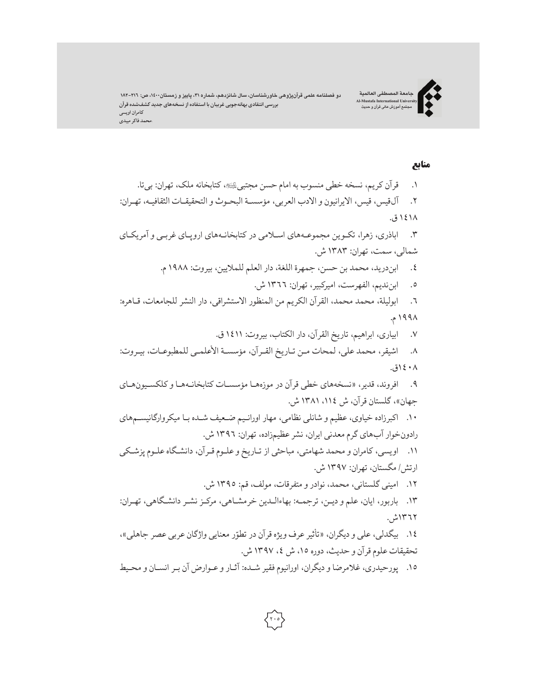دو فصلنامه علمی قرآنپژوهی خاورشناسان، سال شانزدهم، شماره ۳۱، پاییز و زمستان۱۶۰۰، ص: ۲۱۱–۱۸۲ **بررسی انتقادیبهانهجویی غربیان با استفادهازنسخههایجدید کشفشدهقرآن کامران اویسی \محمد فاکر میبدی**

**جامعة المصطفی العالمیة Al-Mustafa International University مجتمع آموزش عالی قرآن و حدیث**



# منابع

.١ قرآن کریم، نسخه خطی منسوب به امام حسن مجتبی،\$کتابخانه ملک، تهران: بیتا. .٢ آلقیس، قیس، الایرانیون و الادب العربی، مؤسسـة البحـوث و التحقیقـات الثقافیـه، تهـران: ١٤١٨ ق. .٣ اباذری، زهرا، تکـوین مجموعـههای اسـلامی در کتابخانـههای اروپـای غربـی و آمریکـای شمالی، سمت، تهران: ١٣٨٣ ش. .٤ ابندرید، محمد بن حسن، جمهرة اللغة، دار العلم للملایین، بیروت: ١٩٨٨م. .٥ ابنندیم، الفهرست، امیرکبیر، تهران: ١٣٦٦ ش. .٦ ابولیلة، محمد محمد، القرآن الکریم من المنظور الاستشراقی، دار النشر للجامعات، قـاهره: ١٩٩٨م. .٧ ابیاری، ابراهیم، تاریخ القرآن،دار الکتاب، بیروت: ١٤١١ ق. .٨ اشیقر، محمد علی، لمحات مـن تـاریخ القـرآن، مؤسسـة الأعلمـی للمطبوعـات، بیـروت: ١٤٠٨ق. .٩ افروند، قدیر، «نسخههای خطی قرآن در موزههـا مؤسسـات کتابخانـههـا و کلکسـیونهـای جهان»،گلستان قرآن،ش ١٣٨١،١١٤ ش. .١٠ اکبرزاده خیاوی،عظیم و شانلی نظامی، مهار اورانـیم ضـعیف شـده بـا میکروارگانیسـمهای رادونخوار آبهای گرممعدنی ایران، نشرعظیمزاده، تهران: ١٣٩٦ ش. .١١ اویسی،کامران و محمد شهامتی، مباحثی از تـاریخ وعلـوم قـرآن، دانشـگاهعلـوم پزشـکی ارتش/ مگستان، تهران: ١٣٩٧ ش. .١٢ امینی گلستانی، محمد، نوادر و متفرقات، مولف، قم: ١٣٩٥ ش. .١٣ باربور، ایان،علم و دیـن، ترجمـه: بهاءالـدین خرمشـاهی، مرکـز نشـر دانشـگاهی، تهـران: ١٣٦٢ش. ١٤. بیگدلی، علی و دیگران، «تأثیر عرف ویژه قرآن در تطوّر معنایی واژگان عربی عصر جاهلی»، تحقیقات علوم قرآن و حدیث،دوره ،١٥ ش ،٤ ١٣٩٧ ش. .١٥ پورحیدری،غلامرضا و دیگران، اورانیوم فقیر شـده: آثـار وعـوارض آن بـر انسـان و محـیط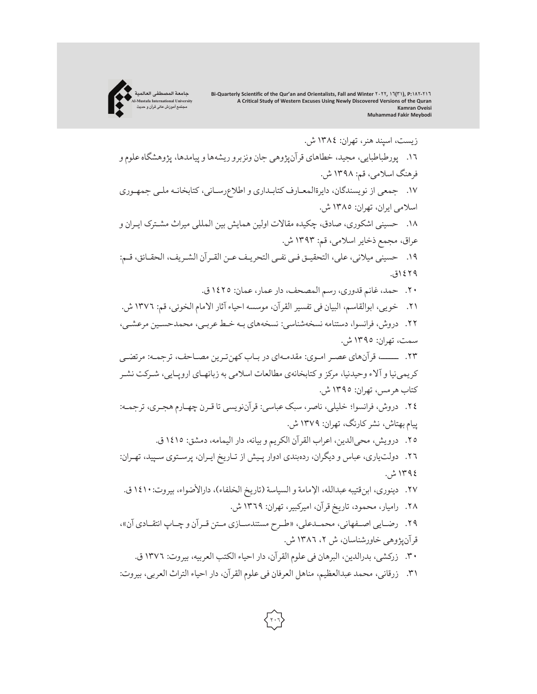زیست، اسپند هنر، تهران: ١٣٨٤ ش. .١٦ پورطباطبایی، مجید، خطاهای قرآنپژوهی جان ونزبرو ریشهها و پیامدها، پژوهشگاهعلومو فرهنگ اسلامی، قم: ١٣٩٨ ش. ١٧. جمعی از نویسندگان، دایرةالمعـارف کتابـداری و اطلاعرسـانی، کتابخانـه ملـی جمهـوری اسلامی ایران، تهران: ١٣٨٥ ش. .١٨ حسینی اشکوری، صادق، چکیده مقالات اولین همایش بین المللی میراث مشـترک ایـران و عراق، مجمع ذخایر اسلامی، قم: ١٣٩٣ ش. ١٩. حسینی میلانی، علی، التحقیـق فـی نفـی التحریـف عـن القـرآن الشـریف، الحقـائق، قـم: ١٤٢٩ق. .٢٠ حمد،غانم قدوری،رسم المصحف، دارعمار،عمان: ١٤٢٥ ق. ٢١. خويي، ابوالقاسم، البيان في تفسير القرآن، موسسه احياء آثار الامام الخوئي، قم: ١٣٧٦ ش. .٢٢ دروش، فرانسوا، دستنامه نسخهشناسی: نسخههای بـه خـط عربـی، محمدحسـین مرعشـی، سمت، تهران: ١٣٩٥ ش. .٢٣ ــــــ، قرآنهای عصـر امـوی: مقدمـهای در بـاب کهنتـرین مصـاحف، ترجمـه: مرتضـی کریمینیا و آلاء وحیدنیا، مرکز وکتابخانهی مطالعات اسلامی به زبانهـای اروپـایی، شـرکت نشـر کتاب هرمس، تهران: ١٣٩٥ ش. .٢٤ دروش، فرانسوا؛ خلیلی، ناصر، سبک عباسی: قرآننویسی تا قـرن چهـارم هجـری، ترجمـه: پیامبهتاش، نشرکارنگ، تهران: ١٣٧٩ ش. .٢٥ درویش، محیالدین، اعراب القرآن الکریم و بیانه، دار الیمامه،دمشق: ١٤١٥ ق. .٢٦ دولتیاری،عباس و دیگران، ردهبندی ادوار پـیش از تـاریخ ایـران، پرسـتوی سـپید، تهـران: ١٣٩٤ ش. ٢٧. دینوری، ابن قتیبه عبدالله، الإمامة و السیاسة (تاریخ الخلفاء)، دارالأضواء، بیروت: ١٤١٠ ق. .٢٨ رامیار، محمود، تاریخ قرآن، امیرکبیر، تهران: ١٣٦٩ ش. .٢٩ رضــایی اصــفهانی، محمــدعلی، «طــرح مستندســازی مــتن قــرآن و چــاپ انتقــادی آن»، قرآنپژوهی خاورشناسان، ش ،٢ ١٣٨٦ ش. .٣٠ زرکشی، بدرالدین، البرهان فی علومالقرآن،دار احیاء الکتب العربیه، بیروت: ١٣٧٦ ق. .٣١ زرقانی، محمد عبدالعظیم، مناهل العرفان فی علوم القرآن، دار احیاء التراث العربی، بیروت:

**جامعة المصطفی العالمیة Al-Mustafa International University مجتمع آموزش عالی قرآن و حدیث**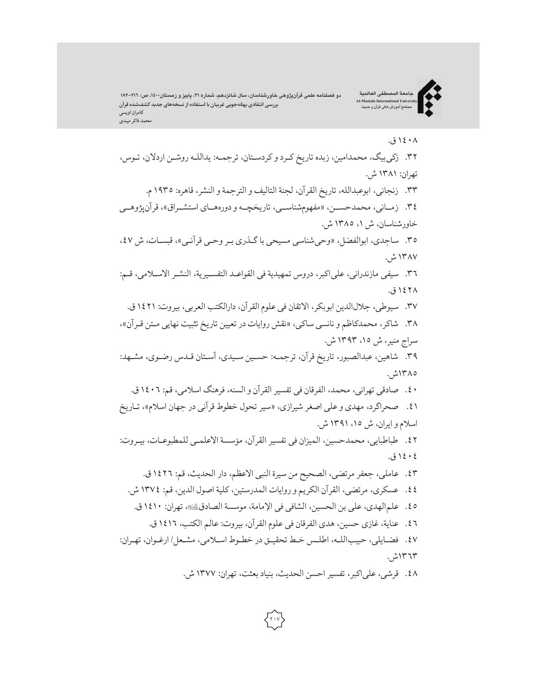دو فصلنامه علمی قرآنپژوهی خاورشناسان، سال شانزدهم، شماره ۳۱، پاییز و زمستان۱۶۰۰، ص: ۲۱٦–۱۸۲ **بررسی انتقادی بهانهجویی غربیان با استفاده از نسخههای جدید کشفشده قرآن کامران اویسی \محمد فاکر میبدی**

**جامعة المصطفی العالمیة Al-Mustafa International University مجتمع آموزش عالی قرآن و حدیث**



# ١٤٠٨ ق.

.٣٢ زکیبیگ، محمدامین، زبده تاریخ کـرد وکردسـتان، ترجمـه: یداللـه روشـن اردلان، تـوس، تهران: ١٣٨١ ش. .٣٣ زنجانی، ابوعبدالله، تاریخ القرآن، لجنة التالیف و الترجمة و النشر، قاهره: ١٩٣٥م. .٣٤ زمــانی،محمدحســن، «مفهومشناســی، تاریخچــه و دورههــای استشــراق»، قرآنپژوهــی خاورشناسان، ش ،١ ١٣٨٥ ش. .٣٥ ساجدی، ابوالفضل، «وحیشناسی مسیحی باگـذری بـر وحـی قرآنـی»، قبسـات،ش ،٤٧ ١٣٨٧ ش. .٣٦ سیفی مازندرانی،علیاکبر، دروس تمهیدیة فی القواعـد التفسـیریة، النشـر الاسـلامی، قـم: ١٤٢٨ ق. ٣٧. سیوطی، جلالالدین ابوبکر، الاتقان فی علوم القرآن، دارالکتب العربی، بیروت: ١٤٢١ ق. .٣٨ شاکر، محمدکاظم و نانسی ساکی، «نقش روایات در تعیین تاریخ تثبیت نهایی مـتن قـرآن»، سراج منیر،ش ،١٥ ١٣٩٣ ش. .٣٩ شاهین،عبدالصبور، تاریخ قرآن، ترجمـه: حسـین سـیدی، آسـتان قـدس رضـوی، مشـهد: ١٣٨٥ش. .٤٠ صادقی تهرانی، محمد، الفرقان فی تفسیرالقرآن و السنه، فرهنگ اسلامی، قم: ١٤٠٦ ق. .٤١ صحراگرد، مهدی وعلی اصغر شیرازی، «سیر تحول خطوط قرآنی در جهان اسلام»، تـاریخ اسلامو ایران، ش ،١٥ ١٣٩١ ش. .٤٢ طباطبایی، محمدحسین، المیزان فی تفسیر القرآن، مؤسسة الاعلمـی للمطبوعـات، بیـروت: ١٤٠٤ ق. .٤٣ عاملی، جعفر مرتضی، الصحیح من سیرة النبی الاعظم، دار الحدیث، قم: ١٤٢٦ ق. .٤٤ عسکری، مرتضی، القرآن الکریم و روایات المدرستین،کلیة اصول الدین، قم: ١٣٧٤ ش. .٤٥ علمالهدی،علی بن الحسین، الشافی فی الإمامة، موسسة الصادق،\$ تهران: ١٤١٠ ق. .٤٦ عنایة،غازی حسین، هدی الفرقان فی علومالقرآن، بیروت: عالم الکتب، ١٤١٦ ق. .٤٧ فضـایلی، حبیباللـه، اطلـس خـط تحقیـق در خطـوط اسـلامی، مشـعل/ ارغـوان، تهـران: ١٣٦٣ش.

.٤٨ قرشی،علیاکبر، تفسیر احسن الحدیث، بنیاد بعثت، تهران: ١٣٧٧ ش.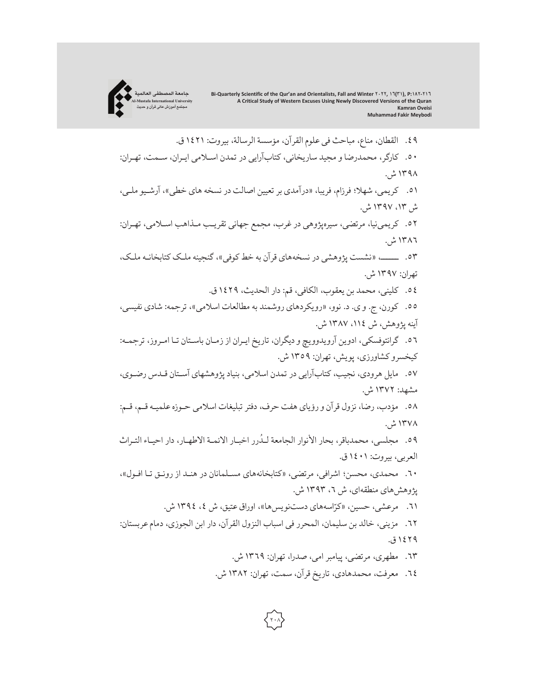

.٤٩ القطان، مناع، مباحث فی علومالقرآن، مؤسسة الرسالة، بیروت: ١٤٢١ ق. .٥٠ کارگر، محمدرضا و مجید ساریخانی،کتابآرایی در تمدن اسـلامی ایـران، سـمت، تهـران: ١٣٩٨ ش. .٥١ کریمی، شهلا؛ فرزام، فریبا، «درآمدی برتعیین اصالت در نسخه های خطی»، آرشـیوملـی، ش ،١٣ ١٣٩٧ ش. .٥٢ کریمینیا، مرتضی، سیرهپژوهی درغرب، مجمع جهانی تقریـب مـذاهب اسـلامی، تهـران: ١٣٨٦ ش. .٥٣ ــــــ، «نشست پژوهشی در نسخههای قرآن به خط کوفی»،گنجینه ملـک کتابخانـه ملـک، تهران: ١٣٩٧ ش. .٥٤ کلینی، محمد بن یعقوب، الکافی، قم: دار الحدیث، ١٤٢٩ ق. .٥٥ کورن، ج. و ی. د. نوو، «رویکردهای روشمند به مطالعات اسلامی»، ترجمه: شادی نفیسی، آینه پژوهش، ش ،١١٤ ١٣٨٧ ش. .٥٦ گرانتوفسکی، ادوین آرویدوویچ و دیگران، تاریخ ایـران از زمـان باسـتان تـا امـروز، ترجمـه: کیخسروکشاورزی، پویش، تهران: ١٣٥٩ ش. .٥٧ مایل هرودی، نجیب،کتابآرایی در تمدن اسلامی، بنیاد پژوهشهای آسـتان قـدس رضـوی، مشهد: ١٣٧٢ ش. .٥٨ مؤدب، رضا، نزول قرآن و رؤیای هفت حرف، دفترتبلیغات اسلامی حـوزهعلمیـه قـم، قـم: ١٣٧٨ ش. ہ<br>ا ٥٩. مجلسي، محمدباقر، بحار الانوار الجامعة لـدُرر اخبـار الائمـة الاطهـار، دار احيـاء التـراث العربی، بیروت: ١٤٠١ ق. .٦٠ محمدی، محسن؛ اشرافی، مرتضی، «کتابخانههای مسـلمانان در هنـد از رونـق تـا افـول»، پژوهشهای منطقهای، ش ،٦ ١٣٩٣ ش. ٦١. مرعشی، حسین، «کرّاسههای دستنویسها»، اوراق عتیق، ش ٤، ١٣٩٤ ش. .٦٢ مزینی، خالد بن سلیمان، المحرر فی اسباب النزول القرآن، دار ابن الجوزی، دمامعربستان: ١٤٢٩ ق. .٦٣ مطهری، مرتضی، پیامبرامی، صدرا، تهران: ١٣٦٩ ش. .٦٤ معرفت، محمدهادی، تاریخ قرآن، سمت، تهران: ١٣٨٢ ش.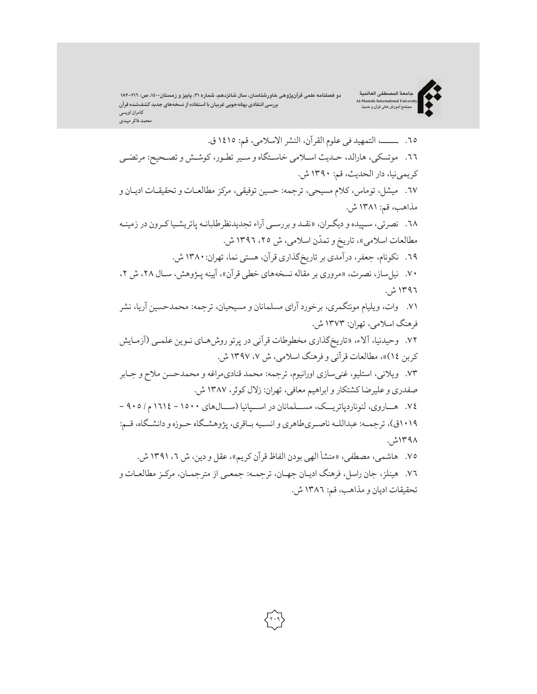دو فصلنامه علمی قرآنپژوهی خاورشناسان، سال شانزدهم، شماره ۳۱، پاییز و زمستان۱۶۰۰، ص: ۲۱۱–۱۸۲ **بررسی انتقادیبهانهجویی غربیان با استفادهازنسخههایجدید کشفشدهقرآن کامران اویسی \محمد فاکر میبدی**

.٦٥ ــــــ، التمهید فی علومالقرآن، النشرالاسلامی، قم: ١٤١٥ ق. ٦٦. موتسکی، هارالد، حـدیث اسـلامی خاسـتگاه و سـیر تطـور، کوشـش و تصـحیح: مرتضـی کریمی نیا، دار الحدیث، قم: ١٣٩٠ ش. .٦٧ میشل، توماس،کلام مسیحی، ترجمه: حسین توفیقی، مرکز مطالعـات و تحقیقـات ادیـان و مذاهب، قم: ١٣٨١ ش. .٦٨ نصرتی، سـپیده و دیگـران، «نقـد و بررسـی آراء تجدیدنظرطلبانـه پاتریشـیاکـرون در زمینـه مطالعات اسلامی»، تاریخ و تمدّن اسلامی، ش ٢٥، ١٣٩٦ ش. ٦٩. نکونام، جعفر، درآمدی بر تاریخگذاری قرآن، هستی نما، تهران: ١٣٨٠ ش. .٧٠ نیلساز، نصرت، «مروری بر مقاله نسخههای خطی قرآن»، آیینه پـژوهش، سـال ،٢٨ش ،٢ ١٣٩٦ ش. .٧١ وات، ویلیام مونتگمری، برخورد آرای مسلمانان و مسیحیان، ترجمه: محمدحسین آریا، نشر فرهنگ اسلامی، تهران: ١٣٧٣ ش. .٧٢ وحیدنیا، آلاء، «تاریخگذاری مخطوطات قرآنی در پرتو روشهـای نـوین علمـی (آزمـایش کربن ١٤)»، مطالعات قرآنی و فرهنگ اسلامی، ش ،٧ ١٣٩٧ ش. .٧٣ ویلانی، استلیو،غنیسازی اورانیوم، ترجمه: محمد قنادیمراغه و محمدحسن ملاح و جـابر صفدری وعلیرضا کشتکار و ابراهیم معافی، تهران: زلال کوثر، ١٣٨٧ ش. .٧٤ هــاروی، لئوناردپاتریـــک، مســلمانان در اســـپانیا (ســـالهای ١٥٠٠ - ١٦١٤م / ٩٠٥ - ١٠١٩ق)، ترجمـه: عبداللـه ناصـریطاهری و انسـیه بـاقری، پژوهشـگاه حـوزهو دانشـگاه، قـم: ١٣٩٨ش. ٧٥. هاشمی، مصطفی، «منشأ الهی بودن الفاظ قرآن کریم»، عقل و دین، ش ٦، ١٣٩١ ش. .٧٦ هینلز، جان راسل، فرهنگ ادیـان جهـان، ترجمـه: جمعـی از مترجمـان، مرکـز مطالعـات و

تحقیقات ادیان و مذاهب، قم: ١٣٨٦ ش.

**جامعة المصطفی العالمیة Al-Mustafa International University مجتمع آموزش عالی قرآن و حدیث**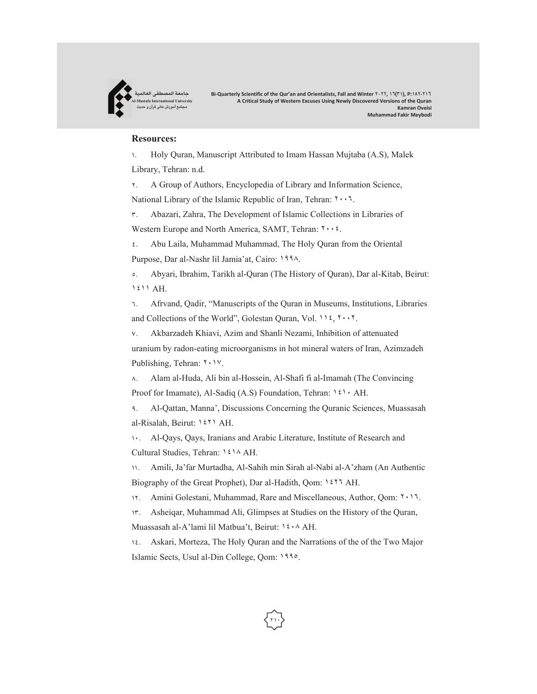

#### **Resources:**

١. Holy Quran, Manuscript Attributed to Imam Hassan Mujtaba (A.S), Malek Library, Tehran: n.d.

٢. A Group of Authors, Encyclopedia of Library and Information Science,

National Library of the Islamic Republic of Iran, Tehran: ٢٠٠٦.

٣. Abazari, Zahra, The Development of Islamic Collections in Libraries of

Western Europe and North America, SAMT, Tehran: ٢٠٠٤.

٤. Abu Laila, Muhammad Muhammad, The Holy Quran from the Oriental Purpose, Dar al-Nashr lil Jamia'at, Cairo: ١٩٩٨.

٥. Abyari, Ibrahim, Tarikh al-Quran (The History of Quran), Dar al-Kitab, Beirut: ١٤١١ AH.

٦. Afrvand, Qadir, "Manuscripts of the Quran in Museums, Institutions, Libraries and Collections of the World", Golestan Quran, Vol. ١١٤, ٢٠٠٢.

٧. Akbarzadeh Khiavi, Azim and Shanli Nezami, Inhibition of attenuated uranium by radon-eating microorganisms in hot mineral waters of Iran, Azimzadeh Publishing, Tehran: ٢٠١٧.

٨. Alam al-Huda, Ali bin al-Hossein, Al-Shafi fi al-Imamah (The Convincing Proof for Imamate), Al-Sadiq (A.S) Foundation, Tehran: ١٤١٠ AH.

٩. Al-Qattan, Manna', Discussions Concerning the Quranic Sciences, Muassasah al-Risalah, Beirut: ١٤٢١ AH.

١٠. Al-Qays, Qays, Iranians and Arabic Literature, Institute of Research and Cultural Studies, Tehran: ١٤١٨ AH.

١١. Amili, Ja'far Murtadha, Al-Sahih min Sirah al-Nabi al-A'zham (An Authentic Biography of the Great Prophet), Dar al-Hadith, Qom: ١٤٢٦ AH.

١٢. Amini Golestani, Muhammad, Rare and Miscellaneous, Author, Qom: ٢٠١٦.

١٣. Asheiqar, Muhammad Ali, Glimpses at Studies on the History of the Quran, Muassasah al-A'lami lil Matbua't, Beirut: ١٤٠٨ AH.

1٤. Askari, Morteza, The Holy Quran and the Narrations of the of the Two Major Islamic Sects, Usul al-Din College, Qom: ١٩٩٥.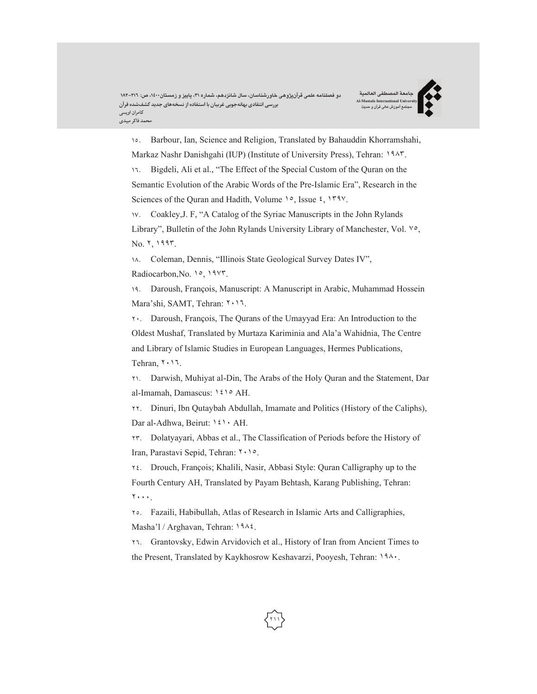**جامعة المصطفی العالمیة Al-Mustafa International University مجتمع آموزش عالی قرآن و حدیث**



١٥. Barbour, Ian, Science and Religion, Translated by Bahauddin Khorramshahi, Markaz Nashr Danishgahi (IUP) (Institute of University Press), Tehran: ١٩٨٣.

١٦. Bigdeli, Ali et al., "The Effect of the Special Custom of the Quran on the Semantic Evolution of the Arabic Words of the Pre-Islamic Era", Research in the Sciences of the Quran and Hadith, Volume ١٥, Issue ٤, ١٣٩٧.

١٧. Coakley,J. F, "A Catalog of the Syriac Manuscripts in the John Rylands Library", Bulletin of the John Rylands University Library of Manchester, Vol. ٧٥, No. ٢, ١٩٩٣.

١٨. Coleman, Dennis, "Illinois State Geological Survey Dates IV",

Radiocarbon,No. ١٥, ١٩٧٣.

١٩. Daroush, François, Manuscript: A Manuscript in Arabic, Muhammad Hossein Mara'shi, SAMT, Tehran: ٢٠١٦.

٢٠. Daroush, François, The Qurans of the Umayyad Era: An Introduction to the Oldest Mushaf, Translated by Murtaza Kariminia and Ala'a Wahidnia, The Centre and Library of Islamic Studies in European Languages, Hermes Publications, Tehran, ٢٠١٦.

٢١. Darwish, Muhiyat al-Din, The Arabs of the Holy Quran and the Statement, Dar al-Imamah, Damascus: ١٤١٥ AH.

٢٢. Dinuri, Ibn Qutaybah Abdullah, Imamate and Politics (History of the Caliphs), Dar al-Adhwa, Beirut: ١٤١٠ AH.

٢٣. Dolatyayari, Abbas et al., The Classification of Periods before the History of Iran, Parastavi Sepid, Tehran: ٢٠١٥.

٢٤. Drouch, François; Khalili, Nasir, Abbasi Style: Quran Calligraphy up to the Fourth Century AH, Translated by Payam Behtash, Karang Publishing, Tehran: ٢٠٠٠.

٢٥. Fazaili, Habibullah, Atlas of Research in Islamic Arts and Calligraphies, Masha'l / Arghavan, Tehran: ١٩٨٤.

٢٦. Grantovsky, Edwin Arvidovich et al., History of Iran from Ancient Times to the Present, Translated by Kaykhosrow Keshavarzi, Pooyesh, Tehran: ١٩٨٠.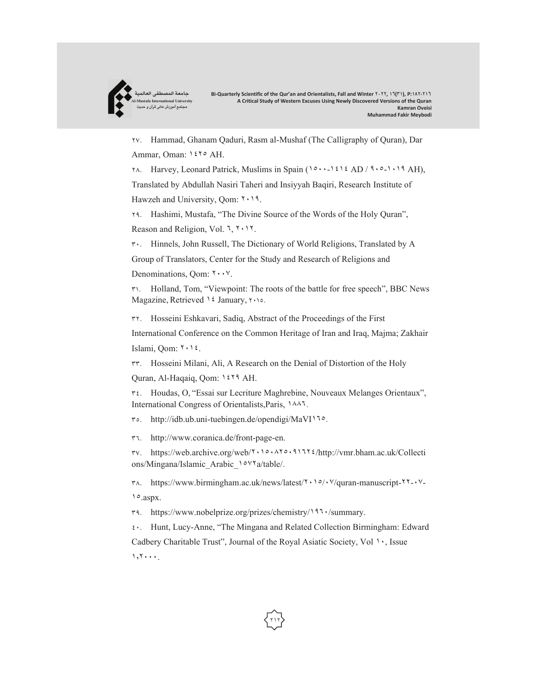

٢٧. Hammad, Ghanam Qaduri, Rasm al-Mushaf (The Calligraphy of Quran), Dar Ammar, Oman: ١٤٢٥ AH.

٢٨. Harvey, Leonard Patrick, Muslims in Spain (١٥٠٠-١٤١٤ AD / ٩٠٥-١٠١٩ AH),

Translated by Abdullah Nasiri Taheri and Insiyyah Baqiri, Research Institute of Hawzeh and University, Qom: ٢٠١٩.

٢٩. Hashimi, Mustafa, "The Divine Source of the Words of the Holy Quran", Reason and Religion, Vol. ٦, ٢٠١٢.

٣٠. Hinnels, John Russell, The Dictionary of World Religions, Translated by A

Group of Translators, Center for the Study and Research of Religions and

Denominations, Qom: ٢٠٠٧.

٣١. Holland, Tom, "Viewpoint: The roots of the battle for free speech", BBC News Magazine, Retrieved ١٤ January, ٢٠١٥.

٣٢. Hosseini Eshkavari, Sadiq, Abstract of the Proceedings of the First

International Conference on the Common Heritage of Iran and Iraq, Majma; Zakhair Islami, Qom: ٢٠١٤.

٣٣. Hosseini Milani, Ali, A Research on the Denial of Distortion of the Holy

Quran, Al-Haqaiq, Qom: ١٤٢٩ AH.

٣٤. Houdas, O, "Essai sur Lecriture Maghrebine, Nouveaux Melanges Orientaux", International Congress of Orientalists,Paris, ١٨٨٦.

٣٥. http://idb.ub.uni-tuebingen.de/opendigi/MaVI١٦٥.

٣٦. http://www.coranica.de/front-page-en.

٣٧. https://web.archive.org/web/٢٠١٥٠٨٢٥٠٩١٦٢٤/http://vmr.bham.ac.uk/Collecti ons/Mingana/Islamic\_Arabic\_١٥٧٢a/table/.

٣٨. https://www.birmingham.ac.uk/news/latest/٢٠١٥/٠٧/quran-manuscript-٢٢-٠٧- ١٥.aspx.

٣٩. https://www.nobelprize.org/prizes/chemistry/١٩٦٠/summary.

٤٠. Hunt, Lucy-Anne, "The Mingana and Related Collection Birmingham: Edward Cadbery Charitable Trust", Journal of the Royal Asiatic Society, Vol ١٠, Issue ١٬٢٠٠٠.

**٢١٢**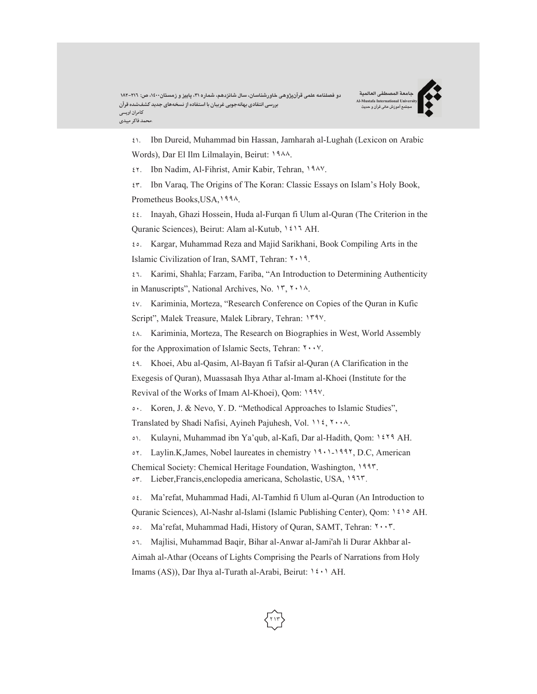٤١. Ibn Dureid, Muhammad bin Hassan, Jamharah al-Lughah (Lexicon on Arabic Words), Dar El Ilm Lilmalayin, Beirut: ١٩٨٨.

٤٢. Ibn Nadim, Al-Fihrist, Amir Kabir, Tehran, ١٩٨٧.

٤٣. Ibn Varaq, The Origins of The Koran: Classic Essays on Islam's Holy Book,

Prometheus Books,USA,١٩٩٨.

٤٤. Inayah, Ghazi Hossein, Huda al-Furqan fi Ulum al-Quran (The Criterion in the Quranic Sciences), Beirut: Alam al-Kutub, ١٤١٦ AH.

٤٥. Kargar, Muhammad Reza and Majid Sarikhani, Book Compiling Arts in the Islamic Civilization of Iran, SAMT, Tehran: ٢٠١٩.

٤٦. Karimi, Shahla; Farzam, Fariba, "An Introduction to Determining Authenticity in Manuscripts", National Archives, No. ١٣, ٢٠١٨.

٤٧. Kariminia, Morteza, "Research Conference on Copies of the Quran in Kufic Script", Malek Treasure, Malek Library, Tehran: ١٣٩٧.

٤٨. Kariminia, Morteza, The Research on Biographies in West, World Assembly for the Approximation of Islamic Sects, Tehran: ٢٠٠٧.

٤٩. Khoei, Abu al-Qasim, Al-Bayan fi Tafsir al-Quran (A Clarification in the Exegesis of Quran), Muassasah Ihya Athar al-Imam al-Khoei (Institute for the Revival of the Works of Imam Al-Khoei), Qom: ١٩٩٧.

٥٠. Koren, J. & Nevo, Y. D. "Methodical Approaches to Islamic Studies",

Translated by Shadi Nafisi, Ayineh Pajuhesh, Vol. ١١٤, ٢٠٠٨.

٥١. Kulayni, Muhammad ibn Ya'qub, al-Kafi, Dar al-Hadith, Qom: ١٤٢٩ AH.

٥٢. Laylin.K,James, Nobel laureates in chemistry ١٩٠١-١٩٩٢, D.C, American

Chemical Society: Chemical Heritage Foundation, Washington, ١٩٩٣.

٥٣. Lieber,Francis,enclopedia americana, Scholastic, USA, ١٩٦٣.

٥٤. Ma'refat, Muhammad Hadi, Al-Tamhid fi Ulum al-Quran (An Introduction to

Quranic Sciences), Al-Nashr al-Islami (Islamic Publishing Center), Qom: ١٤١٥ AH.

٥٥. Ma'refat, Muhammad Hadi, History of Quran, SAMT, Tehran: ٢٠٠٣.

٥٦. Majlisi, Muhammad Baqir, Bihar al-Anwar al-Jami'ah li Durar Akhbar al-

Aimah al-Athar (Oceans of Lights Comprising the Pearls of Narrations from Holy Imams (AS)), Dar Ihya al-Turath al-Arabi, Beirut: ١٤٠١ AH.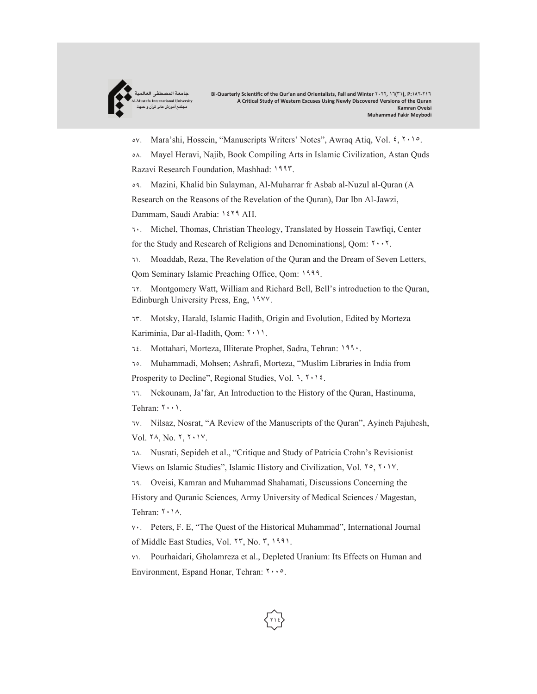

٥٧. Mara'shi, Hossein, "Manuscripts Writers' Notes", Awraq Atiq, Vol. ٤, ٢٠١٥.

٥٨. Mayel Heravi, Najib, Book Compiling Arts in Islamic Civilization, Astan Quds Razavi Research Foundation, Mashhad: ١٩٩٣.

٥٩. Mazini, Khalid bin Sulayman, Al-Muharrar fr Asbab al-Nuzul al-Quran (A Research on the Reasons of the Revelation of the Quran), Dar Ibn Al-Jawzi, Dammam, Saudi Arabia: ١٤٢٩ AH.

٦٠. Michel, Thomas, Christian Theology, Translated by Hossein Tawfiqi, Center for the Study and Research of Religions and Denominations|, Qom: ٢٠٠٢.

٦١. Moaddab, Reza, The Revelation of the Quran and the Dream of Seven Letters, Qom Seminary Islamic Preaching Office, Qom: ١٩٩٩.

٦٢. Montgomery Watt, William and Richard Bell, Bell's introduction to the Quran, Edinburgh University Press, Eng, ١٩٧٧.

٦٣. Motsky, Harald, Islamic Hadith, Origin and Evolution, Edited by Morteza Kariminia, Dar al-Hadith, Qom: ٢٠١١.

٦٤. Mottahari, Morteza, Illiterate Prophet, Sadra, Tehran: ١٩٩٠.

٦٥. Muhammadi, Mohsen; Ashrafi, Morteza, "Muslim Libraries in India from

Prosperity to Decline", Regional Studies, Vol. ٦, ٢٠١٤.

٦٦. Nekounam, Ja'far, An Introduction to the History of the Quran, Hastinuma, Tehran: ٢٠٠١.

٦٧. Nilsaz, Nosrat, "A Review of the Manuscripts of the Quran", Ayineh Pajuhesh, Vol. ٢٨, No. ٢, ٢٠١٧.

٦٨. Nusrati, Sepideh et al., "Critique and Study of Patricia Crohn's Revisionist Views on Islamic Studies", Islamic History and Civilization, Vol. ٢٥, ٢٠١٧.

٦٩. Oveisi, Kamran and Muhammad Shahamati, Discussions Concerning the History and Quranic Sciences, Army University of Medical Sciences / Magestan, Tehran: ٢٠١٨.

٧٠. Peters, F. E, "The Quest of the Historical Muhammad", International Journal of Middle East Studies, Vol. ٢٣, No. ٣, ١٩٩١.

٧١. Pourhaidari, Gholamreza et al., Depleted Uranium: Its Effects on Human and Environment, Espand Honar, Tehran: ٢٠٠٥.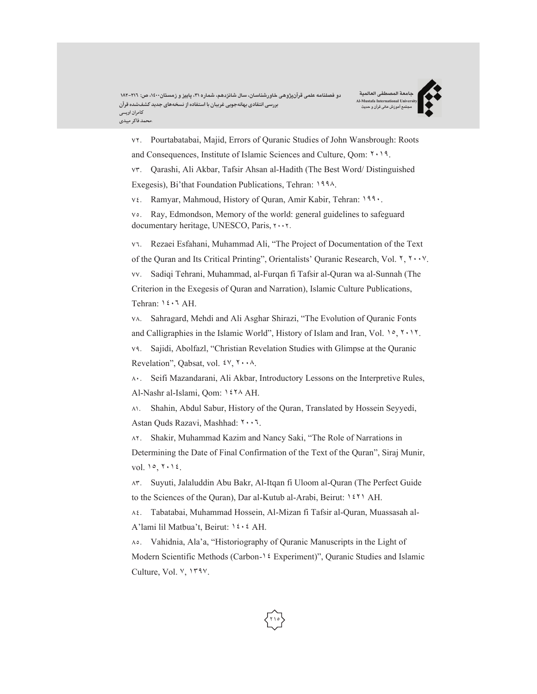**جامعة المصطفی العالمیة Al-Mustafa International University مجتمع آموزش عالی قرآن و حدیث**



٧٢. Pourtabatabai, Majid, Errors of Quranic Studies of John Wansbrough: Roots and Consequences, Institute of Islamic Sciences and Culture, Qom: ٢٠١٩.

٧٣. Qarashi, Ali Akbar, Tafsir Ahsan al-Hadith (The Best Word/ Distinguished Exegesis), Bi'that Foundation Publications, Tehran: ١٩٩٨.

٧٤. Ramyar, Mahmoud, History of Quran, Amir Kabir, Tehran: ١٩٩٠.

٧٥. Ray, Edmondson, Memory of the world: general guidelines to safeguard documentary heritage, UNESCO, Paris, ٢٠٠٢.

٧٦. Rezaei Esfahani, Muhammad Ali, "The Project of Documentation of the Text of the Quran and Its Critical Printing", Orientalists' Quranic Research, Vol. ٢, ٢٠٠٧. ٧٧. Sadiqi Tehrani, Muhammad, al-Furqan fi Tafsir al-Quran wa al-Sunnah (The Criterion in the Exegesis of Quran and Narration), Islamic Culture Publications, Tehran: ١٤٠٦ AH.

٧٨. Sahragard, Mehdi and Ali Asghar Shirazi, "The Evolution of Quranic Fonts and Calligraphies in the Islamic World", History of Islam and Iran, Vol. ١٥, ٢٠١٢. ٧٩. Sajidi, Abolfazl, "Christian Revelation Studies with Glimpse at the Quranic Revelation", Qabsat, vol. ٤٧, ٢٠٠٨.

٨٠. Seifi Mazandarani, Ali Akbar, Introductory Lessons on the Interpretive Rules, Al-Nashr al-Islami, Qom: ١٤٢٨ AH.

٨١. Shahin, Abdul Sabur, History of the Quran, Translated by Hossein Seyyedi, Astan Quds Razavi, Mashhad: ٢٠٠٦.

٨٢. Shakir, Muhammad Kazim and Nancy Saki, "The Role of Narrations in Determining the Date of Final Confirmation of the Text of the Quran", Siraj Munir, vol. ١٥, ٢٠١٤.

٨٣. Suyuti, Jalaluddin Abu Bakr, Al-Itqan fi Uloom al-Quran (The Perfect Guide to the Sciences of the Quran), Dar al-Kutub al-Arabi, Beirut: ١٤٢١ AH.

٨٤. Tabatabai, Muhammad Hossein, Al-Mizan fi Tafsir al-Quran, Muassasah al-A'lami lil Matbua't, Beirut: ١٤٠٤ AH.

٨٥. Vahidnia, Ala'a, "Historiography of Quranic Manuscripts in the Light of Modern Scientific Methods (Carbon-١٤ Experiment)", Quranic Studies and Islamic Culture, Vol. ٧, ١٣٩٧.